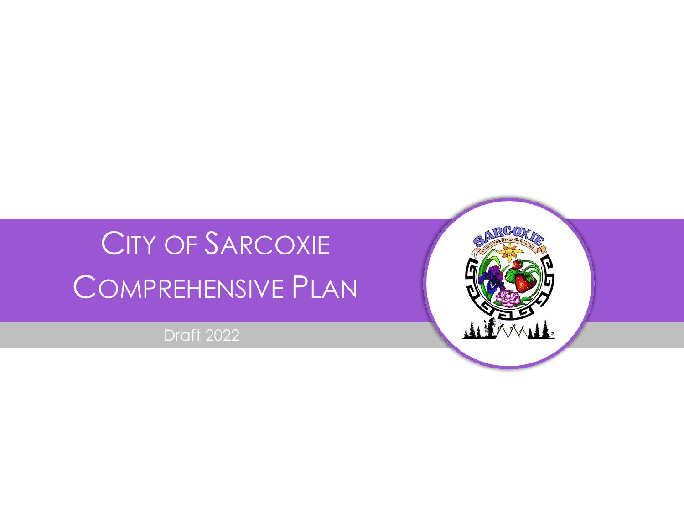# CITY OF SARCOXIE COMPREHENSIVE PLAN

Draft 2022

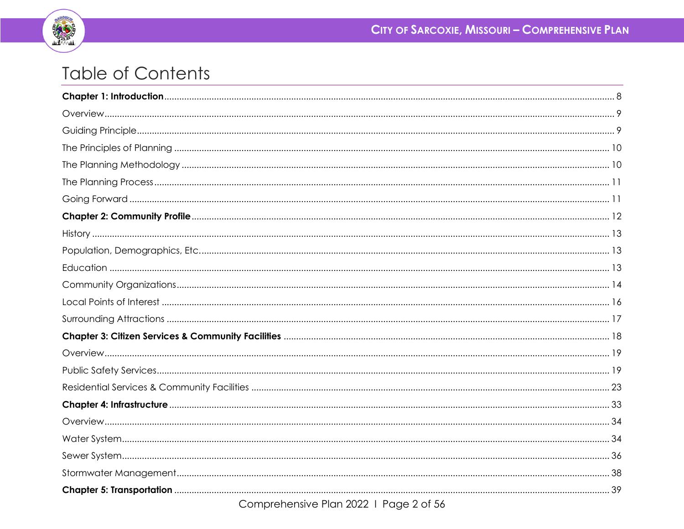

# **Table of Contents**

| $Comorphons: \Omega$ |  |
|----------------------|--|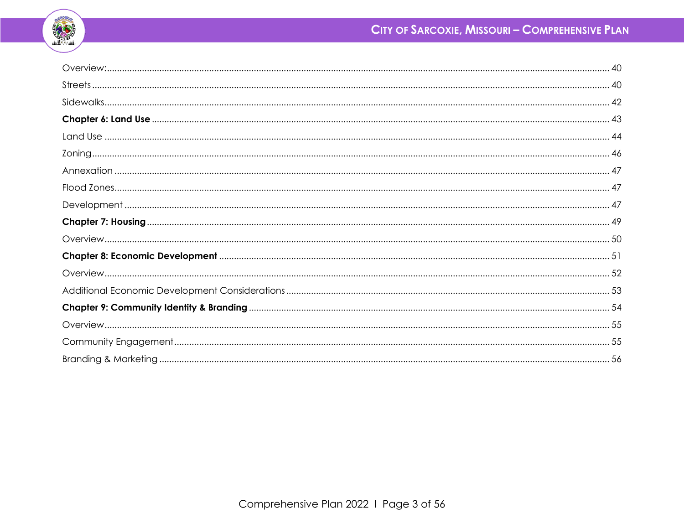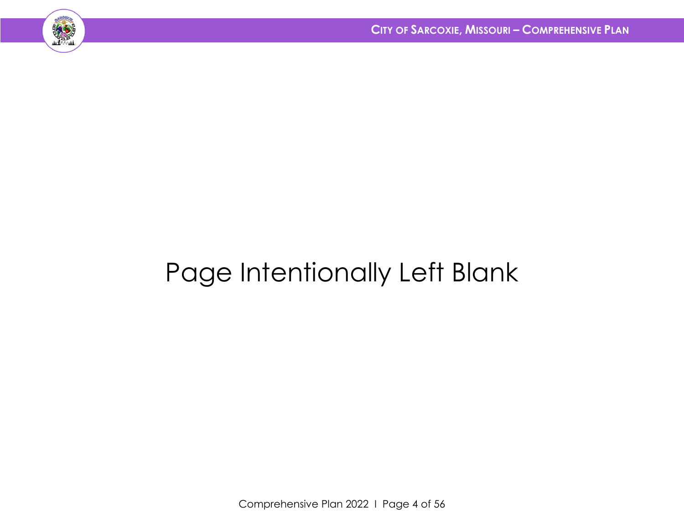

# Page Intentionally Left Blank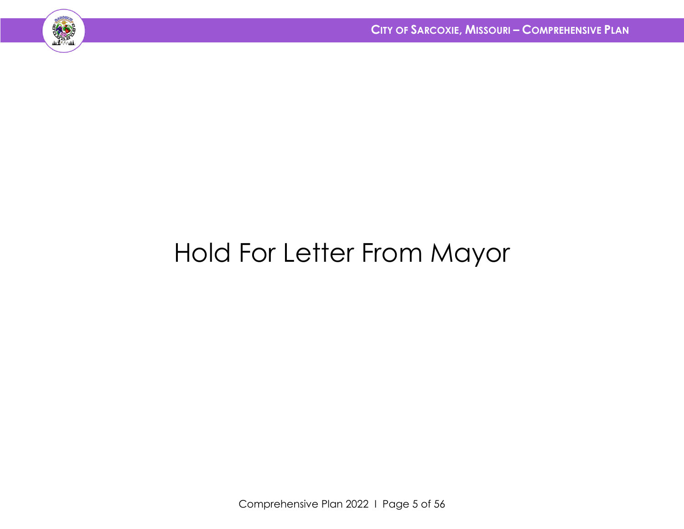

# Hold For Letter From Mayor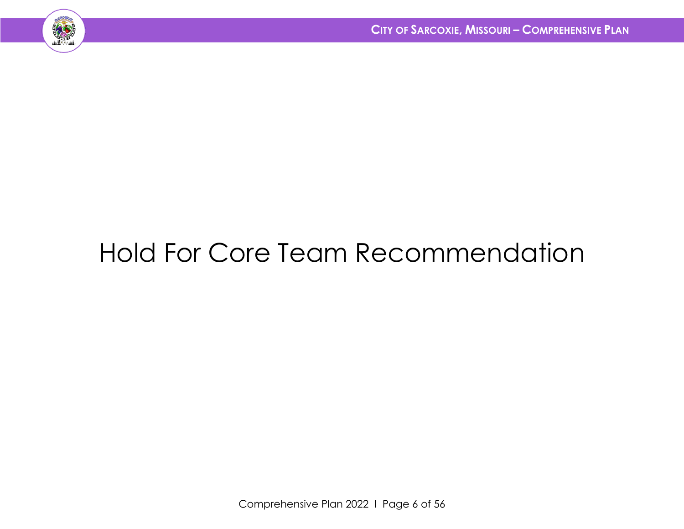

# Hold For Core Team Recommendation

Comprehensive Plan 2022 I Page 6 of 56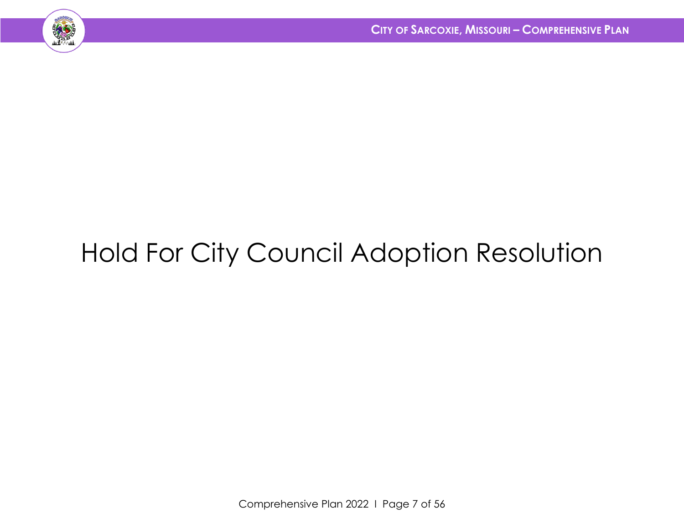

# Hold For City Council Adoption Resolution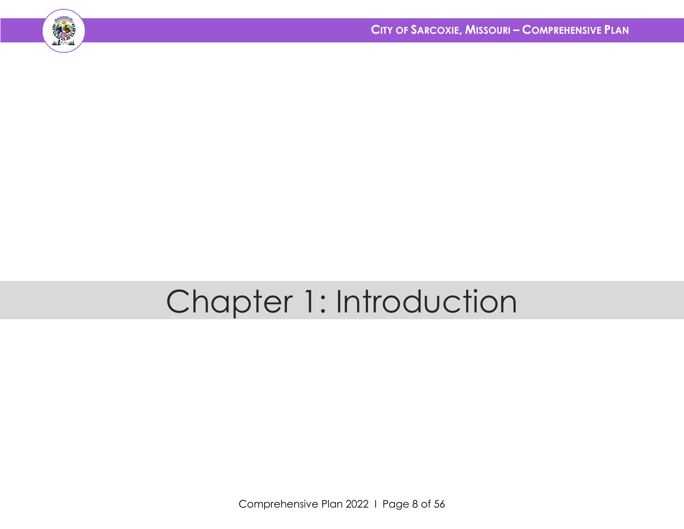

# <span id="page-7-0"></span>Chapter 1: Introduction

Comprehensive Plan 2022 I Page 8 of 56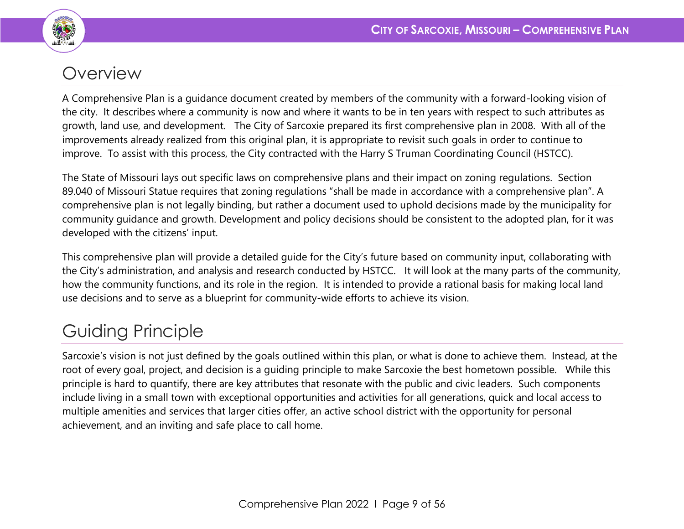

# <span id="page-8-0"></span>**Overview**

A Comprehensive Plan is a guidance document created by members of the community with a forward-looking vision of the city. It describes where a community is now and where it wants to be in ten years with respect to such attributes as growth, land use, and development. The City of Sarcoxie prepared its first comprehensive plan in 2008. With all of the improvements already realized from this original plan, it is appropriate to revisit such goals in order to continue to improve. To assist with this process, the City contracted with the Harry S Truman Coordinating Council (HSTCC).

The State of Missouri lays out specific laws on comprehensive plans and their impact on zoning regulations. Section 89.040 of Missouri Statue requires that zoning regulations "shall be made in accordance with a comprehensive plan". A comprehensive plan is not legally binding, but rather a document used to uphold decisions made by the municipality for community guidance and growth. Development and policy decisions should be consistent to the adopted plan, for it was developed with the citizens' input.

This comprehensive plan will provide a detailed guide for the City's future based on community input, collaborating with the City's administration, and analysis and research conducted by HSTCC. It will look at the many parts of the community, how the community functions, and its role in the region. It is intended to provide a rational basis for making local land use decisions and to serve as a blueprint for community-wide efforts to achieve its vision.

# <span id="page-8-1"></span>Guiding Principle

Sarcoxie's vision is not just defined by the goals outlined within this plan, or what is done to achieve them. Instead, at the root of every goal, project, and decision is a guiding principle to make Sarcoxie the best hometown possible. While this principle is hard to quantify, there are key attributes that resonate with the public and civic leaders. Such components include living in a small town with exceptional opportunities and activities for all generations, quick and local access to multiple amenities and services that larger cities offer, an active school district with the opportunity for personal achievement, and an inviting and safe place to call home.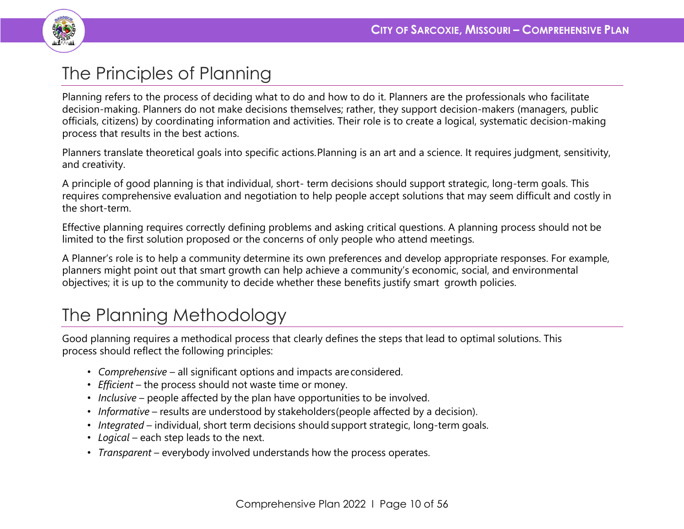

# <span id="page-9-0"></span>The Principles of Planning

Planning refers to the process of deciding what to do and how to do it. Planners are the professionals who facilitate decision-making. Planners do not make decisions themselves; rather, they support decision-makers (managers, public officials, citizens) by coordinating information and activities. Their role is to create a logical, systematic decision-making process that results in the best actions.

Planners translate theoretical goals into specific actions.Planning is an art and a science. It requires judgment, sensitivity, and creativity.

A principle of good planning is that individual, short- term decisions should support strategic, long-term goals. This requires comprehensive evaluation and negotiation to help people accept solutions that may seem difficult and costly in the short-term.

Effective planning requires correctly defining problems and asking critical questions. A planning process should not be limited to the first solution proposed or the concerns of only people who attend meetings.

A Planner's role is to help a community determine its own preferences and develop appropriate responses. For example, planners might point out that smart growth can help achieve a community's economic, social, and environmental objectives; it is up to the community to decide whether these benefits justify smart growth policies.

# <span id="page-9-1"></span>The Planning Methodology

Good planning requires a methodical process that clearly defines the steps that lead to optimal solutions. This process should reflect the following principles:

- *Comprehensive* all significant options and impacts areconsidered.
- *Efficient* the process should not waste time or money.
- *Inclusive* people affected by the plan have opportunities to be involved.
- *Informative* results are understood by stakeholders(people affected by a decision).
- *Integrated* individual, short term decisions should support strategic, long-term goals.
- *Logical* each step leads to the next.
- *Transparent* everybody involved understands how the process operates.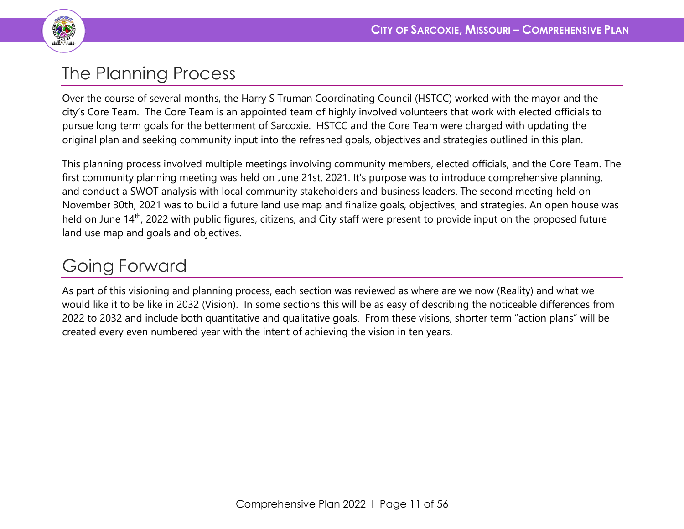

# <span id="page-10-0"></span>The Planning Process

Over the course of several months, the Harry S Truman Coordinating Council (HSTCC) worked with the mayor and the city's Core Team. The Core Team is an appointed team of highly involved volunteers that work with elected officials to pursue long term goals for the betterment of Sarcoxie. HSTCC and the Core Team were charged with updating the original plan and seeking community input into the refreshed goals, objectives and strategies outlined in this plan.

This planning process involved multiple meetings involving community members, elected officials, and the Core Team. The first community planning meeting was held on June 21st, 2021. It's purpose was to introduce comprehensive planning, and conduct a SWOT analysis with local community stakeholders and business leaders. The second meeting held on November 30th, 2021 was to build a future land use map and finalize goals, objectives, and strategies. An open house was held on June 14<sup>th</sup>, 2022 with public figures, citizens, and City staff were present to provide input on the proposed future land use map and goals and objectives.

## <span id="page-10-1"></span>Going Forward

As part of this visioning and planning process, each section was reviewed as where are we now (Reality) and what we would like it to be like in 2032 (Vision). In some sections this will be as easy of describing the noticeable differences from 2022 to 2032 and include both quantitative and qualitative goals. From these visions, shorter term "action plans" will be created every even numbered year with the intent of achieving the vision in ten years.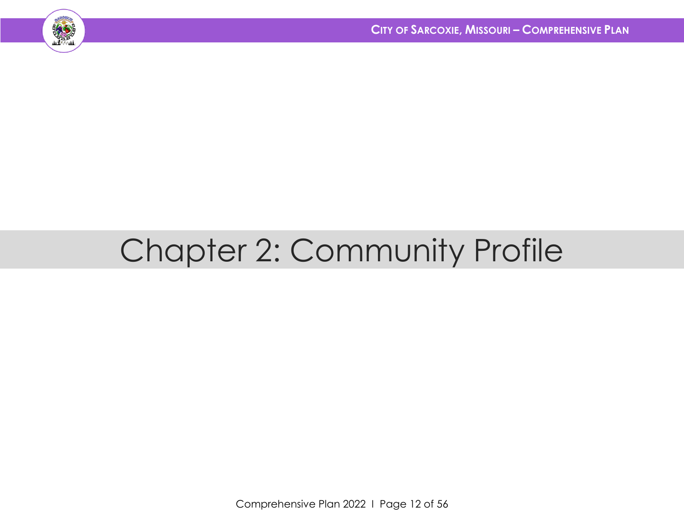

# <span id="page-11-0"></span>Chapter 2: Community Profile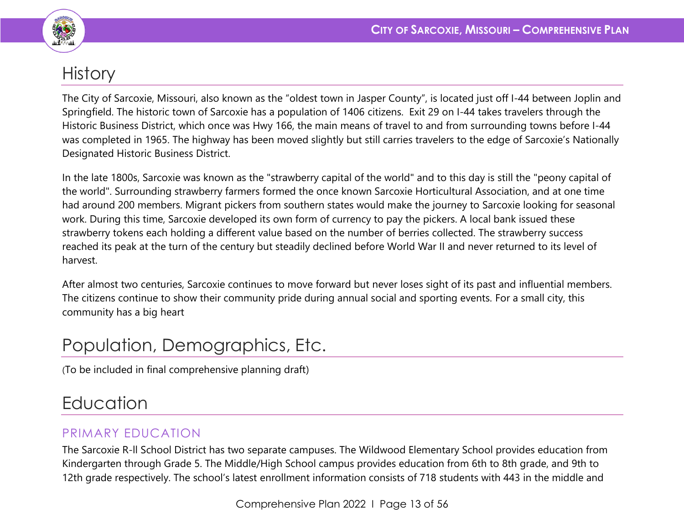

# <span id="page-12-0"></span>**History**

The City of Sarcoxie, Missouri, also known as the "oldest town in Jasper County", is located just off I-44 between Joplin and Springfield. The historic town of Sarcoxie has a population of 1406 citizens. Exit 29 on I-44 takes travelers through the Historic Business District, which once was Hwy 166, the main means of travel to and from surrounding towns before I-44 was completed in 1965. The highway has been moved slightly but still carries travelers to the edge of Sarcoxie's Nationally Designated Historic Business District.

In the late 1800s, Sarcoxie was known as the "strawberry capital of the world" and to this day is still the "peony capital of the world". Surrounding strawberry farmers formed the once known Sarcoxie Horticultural Association, and at one time had around 200 members. Migrant pickers from southern states would make the journey to Sarcoxie looking for seasonal work. During this time, Sarcoxie developed its own form of currency to pay the pickers. A local bank issued these strawberry tokens each holding a different value based on the number of berries collected. The strawberry success reached its peak at the turn of the century but steadily declined before World War II and never returned to its level of harvest.

After almost two centuries, Sarcoxie continues to move forward but never loses sight of its past and influential members. The citizens continue to show their community pride during annual social and sporting events. For a small city, this community has a big heart

# <span id="page-12-1"></span>Population, Demographics, Etc.

<span id="page-12-2"></span>(To be included in final comprehensive planning draft)

# **Education**

#### PRIMARY EDUCATION

The Sarcoxie R-ll School District has two separate campuses. The Wildwood Elementary School provides education from Kindergarten through Grade 5. The Middle/High School campus provides education from 6th to 8th grade, and 9th to 12th grade respectively. The school's latest enrollment information consists of 718 students with 443 in the middle and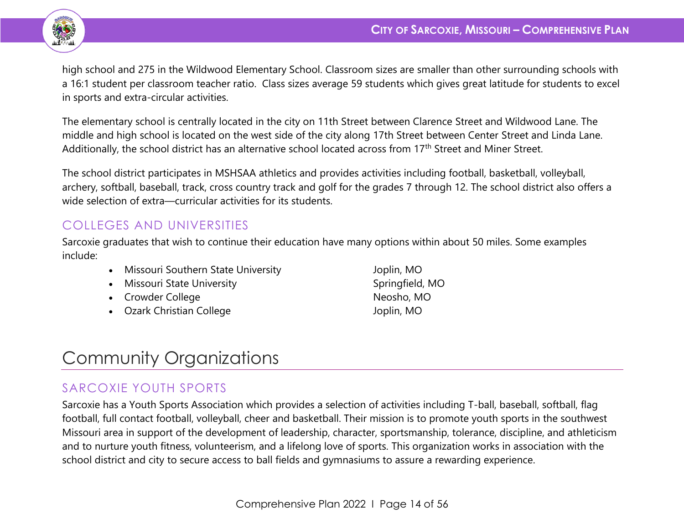

high school and 275 in the Wildwood Elementary School. Classroom sizes are smaller than other surrounding schools with a 16:1 student per classroom teacher ratio. Class sizes average 59 students which gives great latitude for students to excel in sports and extra-circular activities.

The elementary school is centrally located in the city on 11th Street between Clarence Street and Wildwood Lane. The middle and high school is located on the west side of the city along 17th Street between Center Street and Linda Lane. Additionally, the school district has an alternative school located across from 17<sup>th</sup> Street and Miner Street.

The school district participates in MSHSAA athletics and provides activities including football, basketball, volleyball, archery, softball, baseball, track, cross country track and golf for the grades 7 through 12. The school district also offers a wide selection of extra—curricular activities for its students.

### COLLEGES AND UNIVERSITIES

Sarcoxie graduates that wish to continue their education have many options within about 50 miles. Some examples include:

- Missouri Southern State University **Southern State University** Joplin, MO
- Missouri State University Springfield, MO
- Crowder College Neosho, MO
- example and College Contract Contract College Service Contract College Joplin, MO

# <span id="page-13-0"></span>Community Organizations

### SARCOXIE YOUTH SPORTS

Sarcoxie has a Youth Sports Association which provides a selection of activities including T-ball, baseball, softball, flag football, full contact football, volleyball, cheer and basketball. Their mission is to promote youth sports in the southwest Missouri area in support of the development of leadership, character, sportsmanship, tolerance, discipline, and athleticism and to nurture youth fitness, volunteerism, and a lifelong love of sports. This organization works in association with the school district and city to secure access to ball fields and gymnasiums to assure a rewarding experience.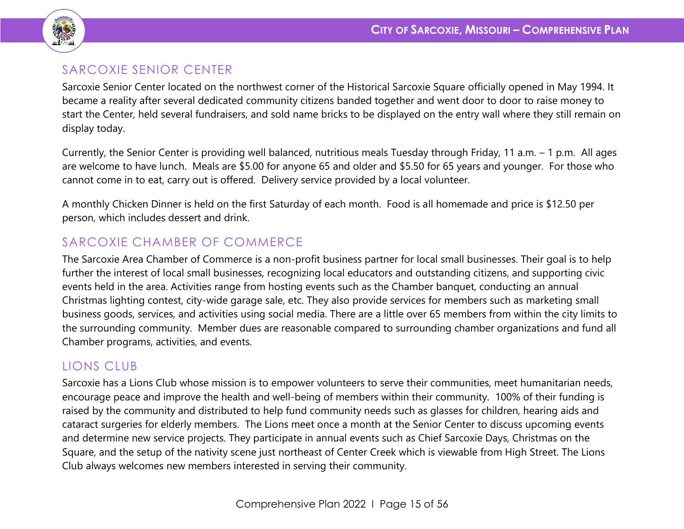

#### SARCOXIE SENIOR CENTER

Sarcoxie Senior Center located on the northwest corner of the Historical Sarcoxie Square officially opened in May 1994. It became a reality after several dedicated community citizens banded together and went door to door to raise money to start the Center, held several fundraisers, and sold name bricks to be displayed on the entry wall where they still remain on display today.

Currently, the Senior Center is providing well balanced, nutritious meals Tuesday through Friday, 11 a.m. – 1 p.m. All ages are welcome to have lunch. Meals are \$5.00 for anyone 65 and older and \$5.50 for 65 years and younger. For those who cannot come in to eat, carry out is offered. Delivery service provided by a local volunteer.

A monthly Chicken Dinner is held on the first Saturday of each month. Food is all homemade and price is \$12.50 per person, which includes dessert and drink.

#### SARCOXIE CHAMBER OF COMMERCE

The Sarcoxie Area Chamber of Commerce is a non-profit business partner for local small businesses. Their goal is to help further the interest of local small businesses, recognizing local educators and outstanding citizens, and supporting civic events held in the area. Activities range from hosting events such as the Chamber banquet, conducting an annual Christmas lighting contest, city-wide garage sale, etc. They also provide services for members such as marketing small business goods, services, and activities using social media. There are a little over 65 members from within the city limits to the surrounding community. Member dues are reasonable compared to surrounding chamber organizations and fund all Chamber programs, activities, and events.

#### LIONS CLUB

Sarcoxie has a Lions Club whose mission is to empower volunteers to serve their communities, meet humanitarian needs, encourage peace and improve the health and well-being of members within their community. 100% of their funding is raised by the community and distributed to help fund community needs such as glasses for children, hearing aids and cataract surgeries for elderly members. The Lions meet once a month at the Senior Center to discuss upcoming events and determine new service projects. They participate in annual events such as Chief Sarcoxie Days, Christmas on the Square, and the setup of the nativity scene just northeast of Center Creek which is viewable from High Street. The Lions Club always welcomes new members interested in serving their community.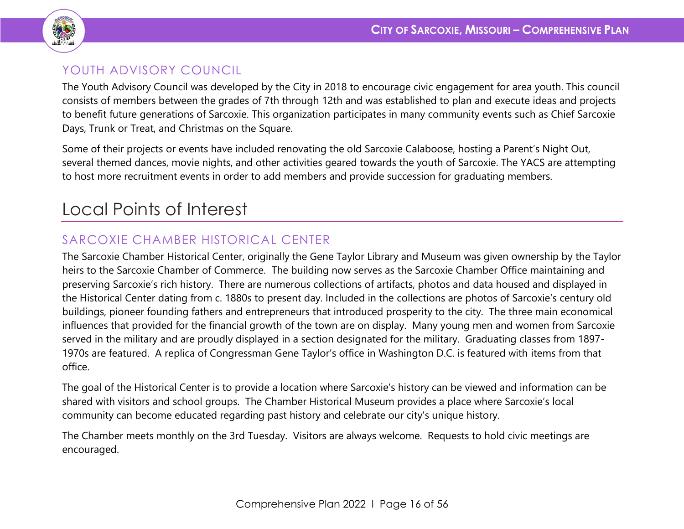

#### YOUTH ADVISORY COUNCIL

The Youth Advisory Council was developed by the City in 2018 to encourage civic engagement for area youth. This council consists of members between the grades of 7th through 12th and was established to plan and execute ideas and projects to benefit future generations of Sarcoxie. This organization participates in many community events such as Chief Sarcoxie Days, Trunk or Treat, and Christmas on the Square.

Some of their projects or events have included renovating the old Sarcoxie Calaboose, hosting a Parent's Night Out, several themed dances, movie nights, and other activities geared towards the youth of Sarcoxie. The YACS are attempting to host more recruitment events in order to add members and provide succession for graduating members.

# <span id="page-15-0"></span>Local Points of Interest

#### SARCOXIE CHAMBER HISTORICAL CENTER

The Sarcoxie Chamber Historical Center, originally the Gene Taylor Library and Museum was given ownership by the Taylor heirs to the Sarcoxie Chamber of Commerce. The building now serves as the Sarcoxie Chamber Office maintaining and preserving Sarcoxie's rich history. There are numerous collections of artifacts, photos and data housed and displayed in the Historical Center dating from c. 1880s to present day. Included in the collections are photos of Sarcoxie's century old buildings, pioneer founding fathers and entrepreneurs that introduced prosperity to the city. The three main economical influences that provided for the financial growth of the town are on display. Many young men and women from Sarcoxie served in the military and are proudly displayed in a section designated for the military. Graduating classes from 1897- 1970s are featured. A replica of Congressman Gene Taylor's office in Washington D.C. is featured with items from that office.

The goal of the Historical Center is to provide a location where Sarcoxie's history can be viewed and information can be shared with visitors and school groups. The Chamber Historical Museum provides a place where Sarcoxie's local community can become educated regarding past history and celebrate our city's unique history.

The Chamber meets monthly on the 3rd Tuesday. Visitors are always welcome. Requests to hold civic meetings are encouraged.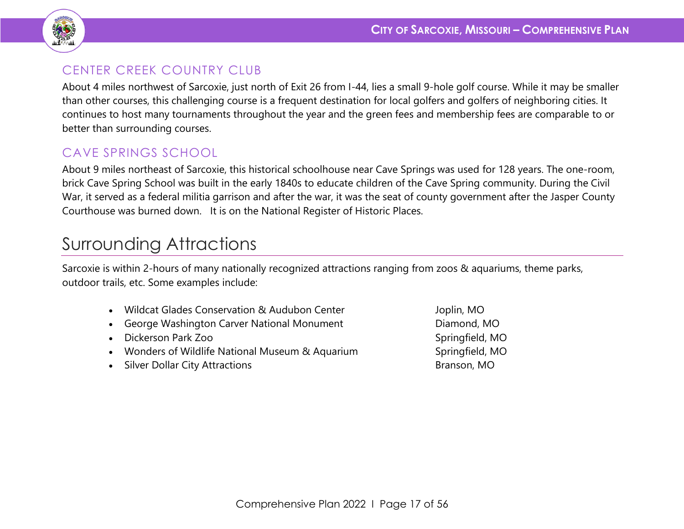

#### CENTER CREEK COUNTRY CLUB

About 4 miles northwest of Sarcoxie, just north of Exit 26 from I-44, lies a small 9-hole golf course. While it may be smaller than other courses, this challenging course is a frequent destination for local golfers and golfers of neighboring cities. It continues to host many tournaments throughout the year and the green fees and membership fees are comparable to or better than surrounding courses.

#### CAVE SPRINGS SCHOOL

About 9 miles northeast of Sarcoxie, this historical schoolhouse near Cave Springs was used for 128 years. The one-room, brick Cave Spring School was built in the early 1840s to educate children of the Cave Spring community. During the Civil War, it served as a federal militia garrison and after the war, it was the seat of county government after the Jasper County Courthouse was burned down. It is on the National Register of Historic Places.

# <span id="page-16-0"></span>Surrounding Attractions

Sarcoxie is within 2-hours of many nationally recognized attractions ranging from zoos & aquariums, theme parks, outdoor trails, etc. Some examples include:

- Wildcat Glades Conservation & Audubon Center Glames Moplin, MO
- George Washington Carver National Monument Carver Diamond, MO
- **Product Dickerson Park Zoo** Springfield, MO
- Wonders of Wildlife National Museum & Aquarium Springfield, MO
- Silver Dollar City Attractions **Branson**, MO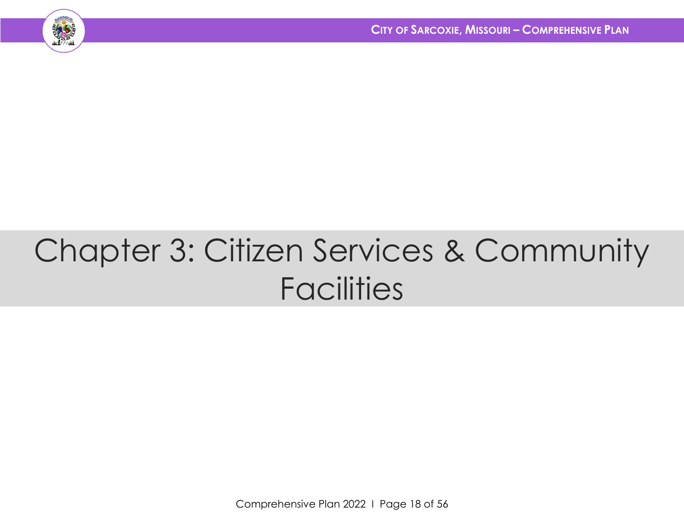

# <span id="page-17-0"></span>Chapter 3: Citizen Services & Community **Facilities**

Comprehensive Plan 2022 I Page 18 of 56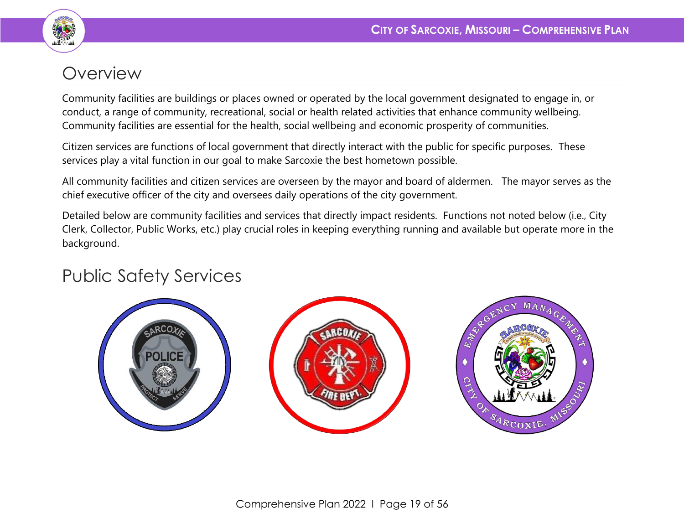

## <span id="page-18-0"></span>**Overview**

Community facilities are buildings or places owned or operated by the local government designated to engage in, or conduct, a range of community, recreational, social or health related activities that enhance community wellbeing. Community facilities are essential for the health, social wellbeing and economic prosperity of communities.

Citizen services are functions of local government that directly interact with the public for specific purposes. These services play a vital function in our goal to make Sarcoxie the best hometown possible.

All community facilities and citizen services are overseen by the mayor and board of aldermen. The mayor serves as the chief executive officer of the city and oversees daily operations of the city government.

Detailed below are community facilities and services that directly impact residents. Functions not noted below (i.e., City Clerk, Collector, Public Works, etc.) play crucial roles in keeping everything running and available but operate more in the background.

# <span id="page-18-1"></span>Public Safety Services

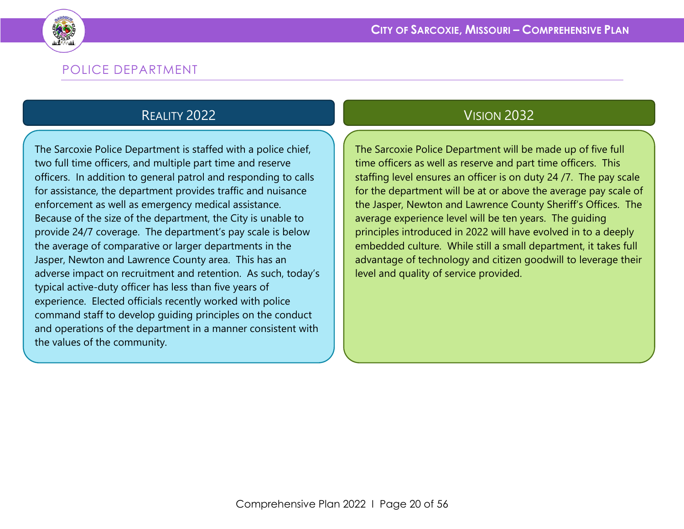



#### REALITY 2022 **VISION 2032**

The Sarcoxie Police Department is staffed with a police chief, two full time officers, and multiple part time and reserve officers. In addition to general patrol and responding to calls for assistance, the department provides traffic and nuisance enforcement as well as emergency medical assistance. Because of the size of the department, the City is unable to provide 24/7 coverage. The department's pay scale is below the average of comparative or larger departments in the Jasper, Newton and Lawrence County area. This has an adverse impact on recruitment and retention. As such, today's typical active-duty officer has less than five years of experience. Elected officials recently worked with police command staff to develop guiding principles on the conduct and operations of the department in a manner consistent with the values of the community.

The Sarcoxie Police Department will be made up of five full time officers as well as reserve and part time officers. This staffing level ensures an officer is on duty 24 /7. The pay scale for the department will be at or above the average pay scale of the Jasper, Newton and Lawrence County Sheriff's Offices. The average experience level will be ten years. The guiding principles introduced in 2022 will have evolved in to a deeply embedded culture. While still a small department, it takes full advantage of technology and citizen goodwill to leverage their level and quality of service provided.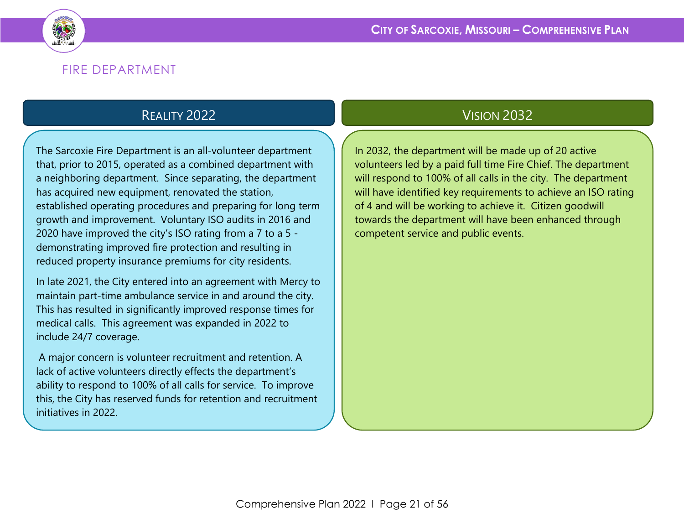



#### FIRE DEPARTMENT

#### REALITY 2022 **VISION 2032**

The Sarcoxie Fire Department is an all-volunteer department that, prior to 2015, operated as a combined department with a neighboring department. Since separating, the department has acquired new equipment, renovated the station, established operating procedures and preparing for long term growth and improvement. Voluntary ISO audits in 2016 and 2020 have improved the city's ISO rating from a 7 to a 5 demonstrating improved fire protection and resulting in reduced property insurance premiums for city residents.

In late 2021, the City entered into an agreement with Mercy to maintain part-time ambulance service in and around the city. This has resulted in significantly improved response times for medical calls. This agreement was expanded in 2022 to include 24/7 coverage.

A major concern is volunteer recruitment and retention. A lack of active volunteers directly effects the department's ability to respond to 100% of all calls for service. To improve this, the City has reserved funds for retention and recruitment initiatives in 2022.

In 2032, the department will be made up of 20 active volunteers led by a paid full time Fire Chief. The department will respond to 100% of all calls in the city. The department will have identified key requirements to achieve an ISO rating of 4 and will be working to achieve it. Citizen goodwill towards the department will have been enhanced through competent service and public events.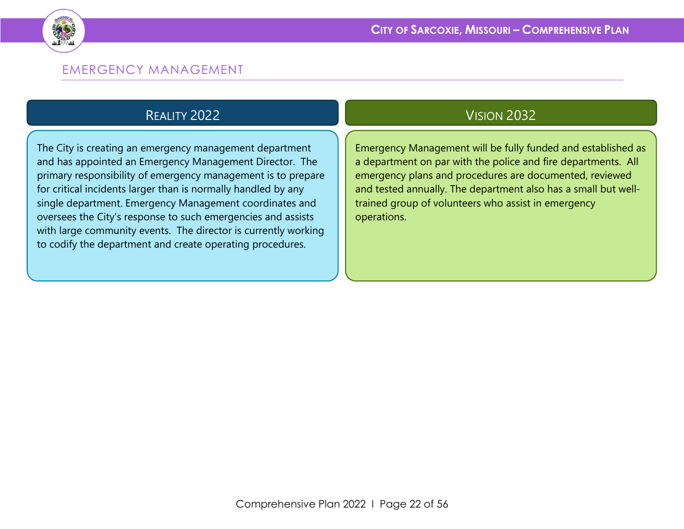



#### REALITY 2022 **CONTROLLER IN THE CONTROLLER IN THE VISION 2032**

The City is creating an emergency management department and has appointed an Emergency Management Director. The primary responsibility of emergency management is to prepare for critical incidents larger than is normally handled by any single department. Emergency Management coordinates and oversees the City's response to such emergencies and assists with large community events. The director is currently working to codify the department and create operating procedures.

Emergency Management will be fully funded and established as a department on par with the police and fire departments. All emergency plans and procedures are documented, reviewed and tested annually. The department also has a small but welltrained group of volunteers who assist in emergency operations.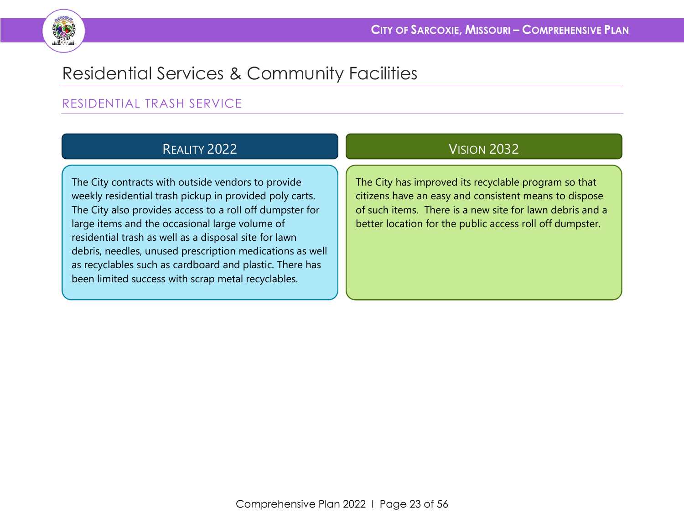



## <span id="page-22-0"></span>Residential Services & Community Facilities

### RESIDENTIAL TRASH SERVICE

### REALITY 2022 **VISION 2032**

The City contracts with outside vendors to provide weekly residential trash pickup in provided poly carts. The City also provides access to a roll off dumpster for large items and the occasional large volume of residential trash as well as a disposal site for lawn debris, needles, unused prescription medications as well as recyclables such as cardboard and plastic. There has been limited success with scrap metal recyclables.

The City has improved its recyclable program so that citizens have an easy and consistent means to dispose of such items. There is a new site for lawn debris and a better location for the public access roll off dumpster.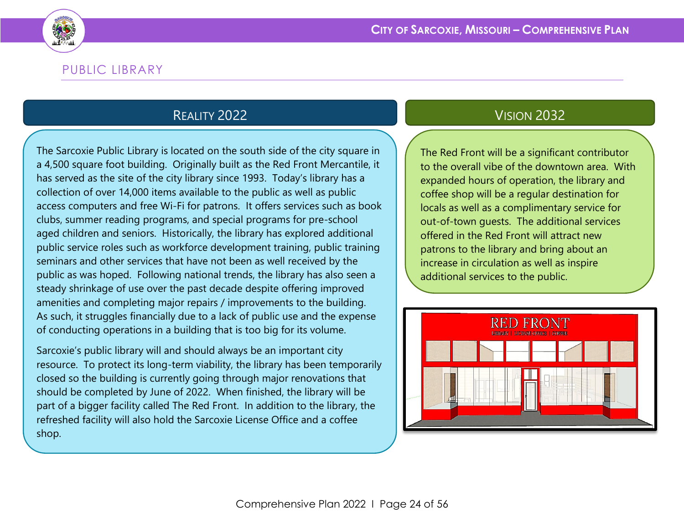

#### REALITY 2022 **VISION 2032**

The Sarcoxie Public Library is located on the south side of the city square in a 4,500 square foot building. Originally built as the Red Front Mercantile, it has served as the site of the city library since 1993. Today's library has a collection of over 14,000 items available to the public as well as public access computers and free Wi-Fi for patrons. It offers services such as book clubs, summer reading programs, and special programs for pre-school aged children and seniors. Historically, the library has explored additional public service roles such as workforce development training, public training seminars and other services that have not been as well received by the public as was hoped. Following national trends, the library has also seen a steady shrinkage of use over the past decade despite offering improved amenities and completing major repairs / improvements to the building. As such, it struggles financially due to a lack of public use and the expense of conducting operations in a building that is too big for its volume.

Sarcoxie's public library will and should always be an important city resource. To protect its long-term viability, the library has been temporarily closed so the building is currently going through major renovations that should be completed by June of 2022. When finished, the library will be part of a bigger facility called The Red Front. In addition to the library, the refreshed facility will also hold the Sarcoxie License Office and a coffee shop.

The Red Front will be a significant contributor to the overall vibe of the downtown area. With expanded hours of operation, the library and coffee shop will be a regular destination for locals as well as a complimentary service for out-of-town guests. The additional services offered in the Red Front will attract new patrons to the library and bring about an increase in circulation as well as inspire additional services to the public.

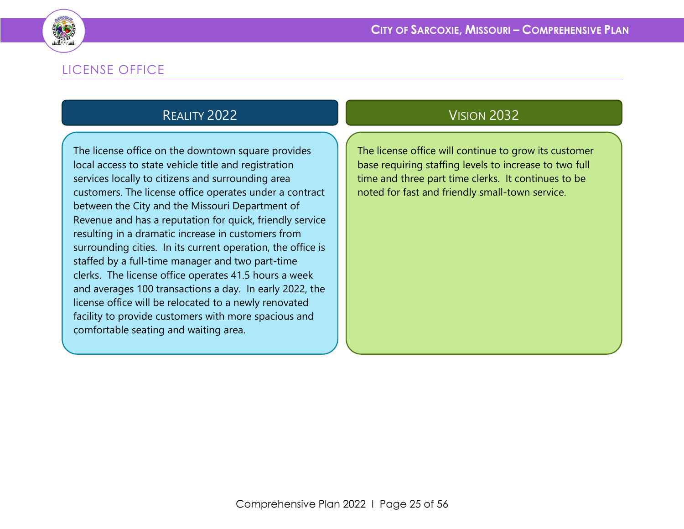

### LICENSE OFFICE

#### REALITY 2022 **CONTROLLER IN THE SECOND VISION 2032**

The license office on the downtown square provides local access to state vehicle title and registration services locally to citizens and surrounding area customers. The license office operates under a contract between the City and the Missouri Department of Revenue and has a reputation for quick, friendly service resulting in a dramatic increase in customers from surrounding cities. In its current operation, the office is staffed by a full-time manager and two part-time clerks. The license office operates 41.5 hours a week and averages 100 transactions a day. In early 2022, the license office will be relocated to a newly renovated facility to provide customers with more spacious and comfortable seating and waiting area.

The license office will continue to grow its customer base requiring staffing levels to increase to two full time and three part time clerks. It continues to be noted for fast and friendly small-town service.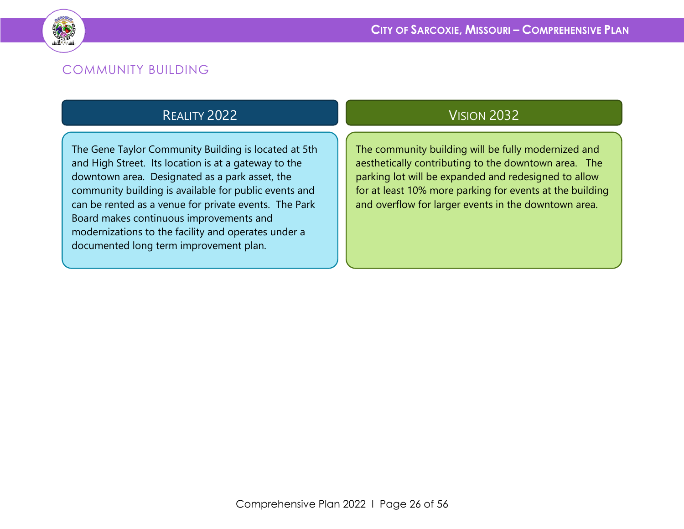



#### COMMUNITY BUILDING

#### REALITY 2022 **VISION 2032**

The Gene Taylor Community Building is located at 5th and High Street. Its location is at a gateway to the downtown area. Designated as a park asset, the community building is available for public events and can be rented as a venue for private events. The Park Board makes continuous improvements and modernizations to the facility and operates under a documented long term improvement plan.

The community building will be fully modernized and aesthetically contributing to the downtown area. The parking lot will be expanded and redesigned to allow for at least 10% more parking for events at the building and overflow for larger events in the downtown area.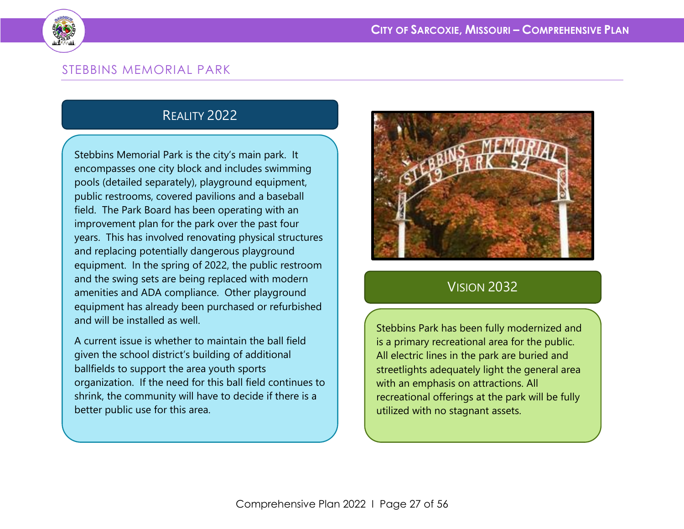

### REALITY 2022

Stebbins Memorial Park is the city's main park. It encompasses one city block and includes swimming pools (detailed separately), playground equipment, public restrooms, covered pavilions and a baseball field. The Park Board has been operating with an improvement plan for the park over the past four years. This has involved renovating physical structures and replacing potentially dangerous playground equipment. In the spring of 2022, the public restroom and the swing sets are being replaced with modern amenities and ADA compliance. Other playground equipment has already been purchased or refurbished and will be installed as well.

A current issue is whether to maintain the ball field given the school district's building of additional ballfields to support the area youth sports organization. If the need for this ball field continues to shrink, the community will have to decide if there is a better public use for this area.



### VISION 2032

Stebbins Park has been fully modernized and is a primary recreational area for the public. All electric lines in the park are buried and streetlights adequately light the general area with an emphasis on attractions. All recreational offerings at the park will be fully utilized with no stagnant assets.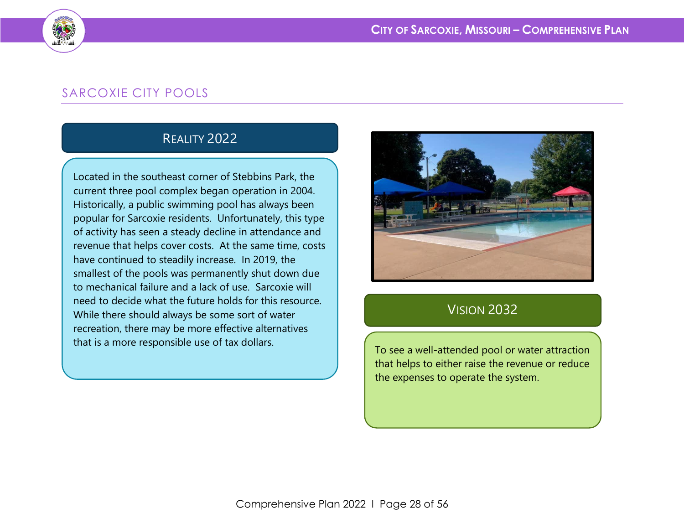

### SARCOXIE CITY POOLS

#### REALITY 2022

Located in the southeast corner of Stebbins Park, the current three pool complex began operation in 2004. Historically, a public swimming pool has always been popular for Sarcoxie residents. Unfortunately, this type of activity has seen a steady decline in attendance and revenue that helps cover costs. At the same time, costs have continued to steadily increase. In 2019, the smallest of the pools was permanently shut down due to mechanical failure and a lack of use. Sarcoxie will need to decide what the future holds for this resource. While there should always be some sort of water recreation, there may be more effective alternatives that is a more responsible use of tax dollars. To see a well-attended pool or water attraction



#### VISION 2032

that helps to either raise the revenue or reduce the expenses to operate the system.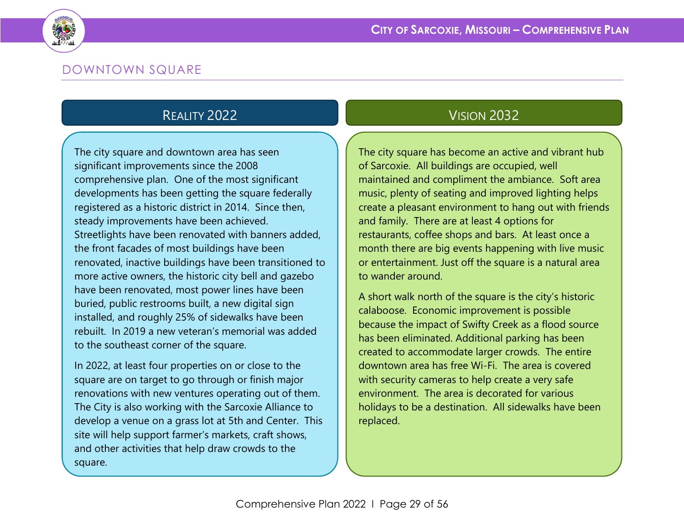

### REALITY 2022 **CONTROLLER IN THE SECOND VISION 2032**

The city square and downtown area has seen significant improvements since the 2008 comprehensive plan. One of the most significant developments has been getting the square federally registered as a historic district in 2014. Since then, steady improvements have been achieved. Streetlights have been renovated with banners added, the front facades of most buildings have been renovated, inactive buildings have been transitioned to more active owners, the historic city bell and gazebo have been renovated, most power lines have been buried, public restrooms built, a new digital sign installed, and roughly 25% of sidewalks have been rebuilt. In 2019 a new veteran's memorial was added to the southeast corner of the square.

In 2022, at least four properties on or close to the square are on target to go through or finish major renovations with new ventures operating out of them. The City is also working with the Sarcoxie Alliance to develop a venue on a grass lot at 5th and Center. This site will help support farmer's markets, craft shows, and other activities that help draw crowds to the square.

The city square has become an active and vibrant hub of Sarcoxie. All buildings are occupied, well maintained and compliment the ambiance. Soft area music, plenty of seating and improved lighting helps create a pleasant environment to hang out with friends and family. There are at least 4 options for restaurants, coffee shops and bars. At least once a month there are big events happening with live music or entertainment. Just off the square is a natural area to wander around.

A short walk north of the square is the city's historic calaboose. Economic improvement is possible because the impact of Swifty Creek as a flood source has been eliminated. Additional parking has been created to accommodate larger crowds. The entire downtown area has free Wi-Fi. The area is covered with security cameras to help create a very safe environment. The area is decorated for various holidays to be a destination. All sidewalks have been replaced.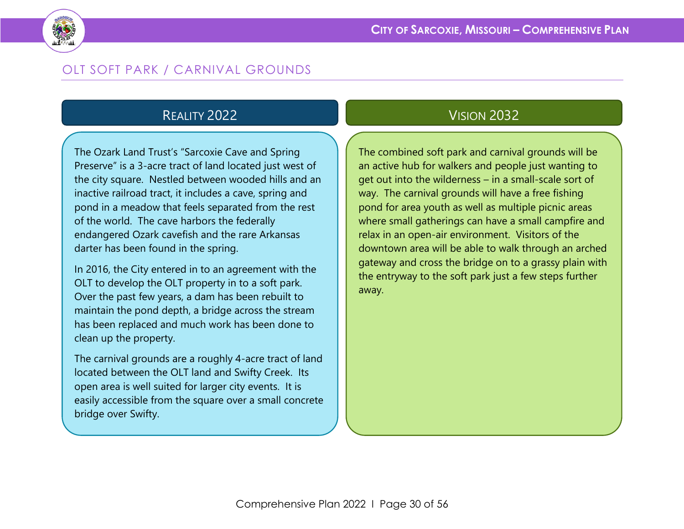

### OLT SOFT PARK / CARNIVAL GROUNDS

#### REALITY 2022 **CONTROLLER IN THE SECOND VISION 2032**

The Ozark Land Trust's "Sarcoxie Cave and Spring Preserve" is a 3-acre tract of land located just west of the city square. Nestled between wooded hills and an inactive railroad tract, it includes a cave, spring and pond in a meadow that feels separated from the rest of the world. The cave harbors the federally endangered Ozark cavefish and the rare Arkansas darter has been found in the spring.

In 2016, the City entered in to an agreement with the OLT to develop the OLT property in to a soft park. Over the past few years, a dam has been rebuilt to maintain the pond depth, a bridge across the stream has been replaced and much work has been done to clean up the property.

The carnival grounds are a roughly 4-acre tract of land located between the OLT land and Swifty Creek. Its open area is well suited for larger city events. It is easily accessible from the square over a small concrete bridge over Swifty.

The combined soft park and carnival grounds will be an active hub for walkers and people just wanting to get out into the wilderness – in a small-scale sort of way. The carnival grounds will have a free fishing pond for area youth as well as multiple picnic areas where small gatherings can have a small campfire and relax in an open-air environment. Visitors of the downtown area will be able to walk through an arched gateway and cross the bridge on to a grassy plain with the entryway to the soft park just a few steps further away.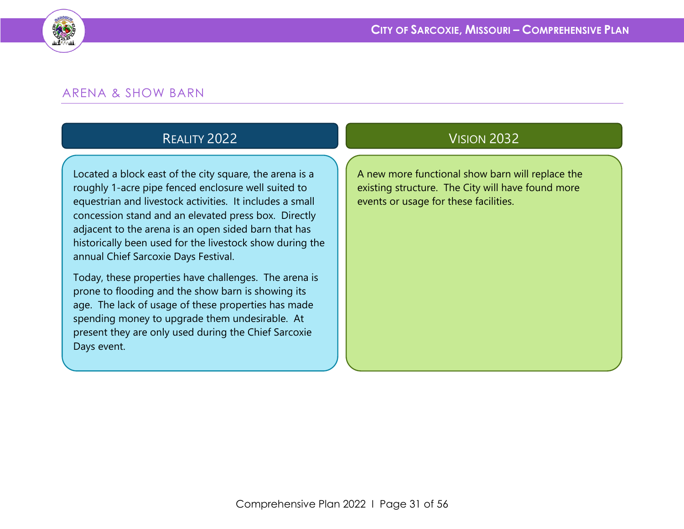

#### ARENA & SHOW BARN

### REALITY 2022 **CONTROLLER IN THE SECOND VISION 2032**

Located a block east of the city square, the arena is a roughly 1-acre pipe fenced enclosure well suited to equestrian and livestock activities. It includes a small concession stand and an elevated press box. Directly adjacent to the arena is an open sided barn that has historically been used for the livestock show during the annual Chief Sarcoxie Days Festival.

Today, these properties have challenges. The arena is prone to flooding and the show barn is showing its age. The lack of usage of these properties has made spending money to upgrade them undesirable. At present they are only used during the Chief Sarcoxie Days event.

A new more functional show barn will replace the existing structure. The City will have found more events or usage for these facilities.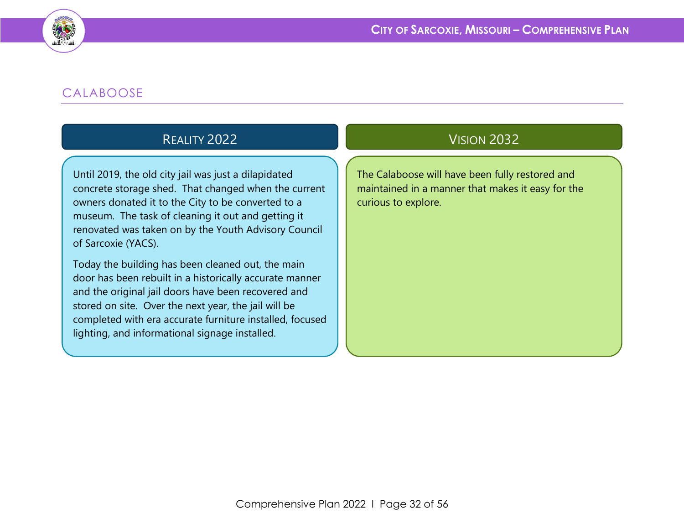

### CALABOOSE

### REALITY 2022 **VISION 2032**

Until 2019, the old city jail was just a dilapidated concrete storage shed. That changed when the current owners donated it to the City to be converted to a museum. The task of cleaning it out and getting it renovated was taken on by the Youth Advisory Council of Sarcoxie (YACS).

Today the building has been cleaned out, the main door has been rebuilt in a historically accurate manner and the original jail doors have been recovered and stored on site. Over the next year, the jail will be completed with era accurate furniture installed, focused lighting, and informational signage installed.

The Calaboose will have been fully restored and maintained in a manner that makes it easy for the curious to explore.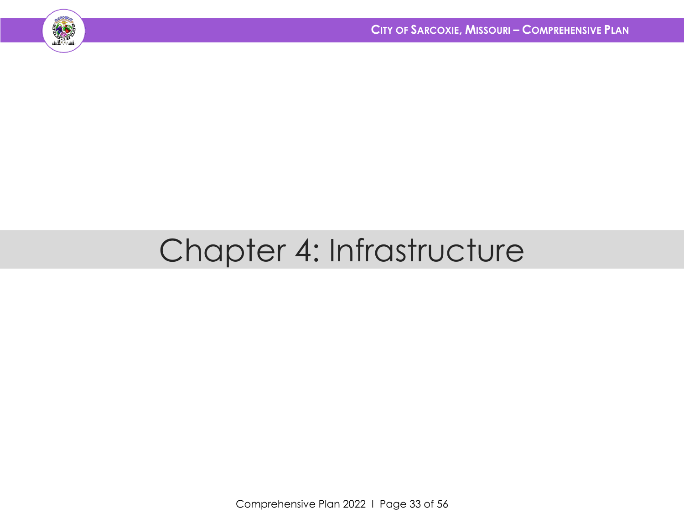

# <span id="page-32-0"></span>Chapter 4: Infrastructure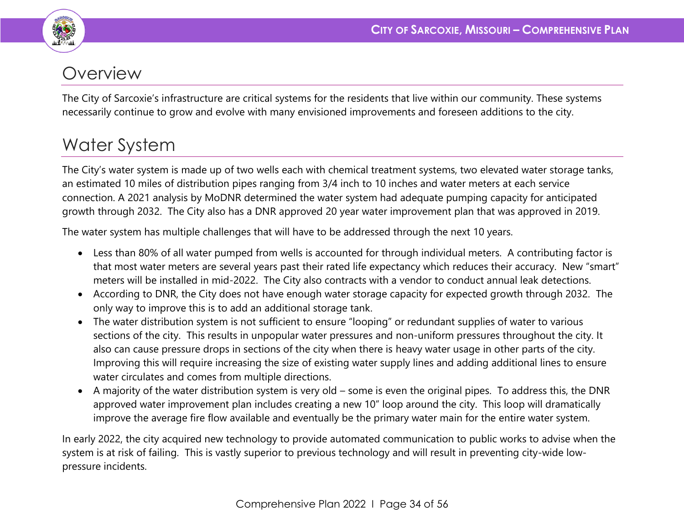

# <span id="page-33-0"></span>**Overview**

The City of Sarcoxie's infrastructure are critical systems for the residents that live within our community. These systems necessarily continue to grow and evolve with many envisioned improvements and foreseen additions to the city.

# <span id="page-33-1"></span>Water System

The City's water system is made up of two wells each with chemical treatment systems, two elevated water storage tanks, an estimated 10 miles of distribution pipes ranging from 3/4 inch to 10 inches and water meters at each service connection. A 2021 analysis by MoDNR determined the water system had adequate pumping capacity for anticipated growth through 2032. The City also has a DNR approved 20 year water improvement plan that was approved in 2019.

The water system has multiple challenges that will have to be addressed through the next 10 years.

- Less than 80% of all water pumped from wells is accounted for through individual meters. A contributing factor is that most water meters are several years past their rated life expectancy which reduces their accuracy. New "smart" meters will be installed in mid-2022. The City also contracts with a vendor to conduct annual leak detections.
- According to DNR, the City does not have enough water storage capacity for expected growth through 2032. The only way to improve this is to add an additional storage tank.
- The water distribution system is not sufficient to ensure "looping" or redundant supplies of water to various sections of the city. This results in unpopular water pressures and non-uniform pressures throughout the city. It also can cause pressure drops in sections of the city when there is heavy water usage in other parts of the city. Improving this will require increasing the size of existing water supply lines and adding additional lines to ensure water circulates and comes from multiple directions.
- A majority of the water distribution system is very old some is even the original pipes. To address this, the DNR approved water improvement plan includes creating a new 10" loop around the city. This loop will dramatically improve the average fire flow available and eventually be the primary water main for the entire water system.

In early 2022, the city acquired new technology to provide automated communication to public works to advise when the system is at risk of failing. This is vastly superior to previous technology and will result in preventing city-wide lowpressure incidents.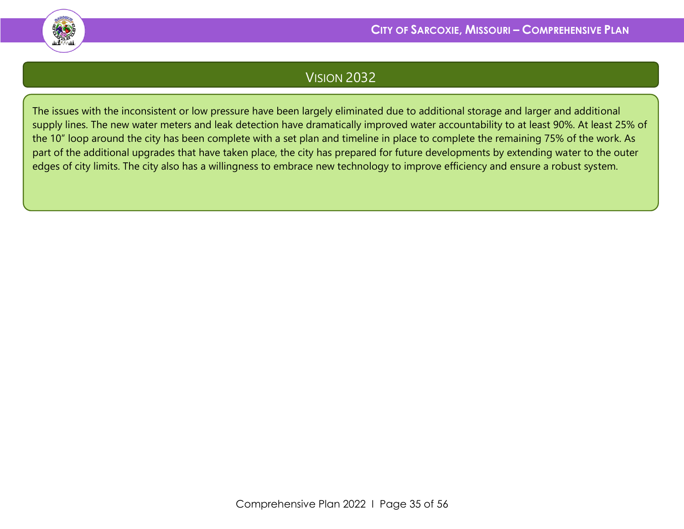

### VISION 2032

The issues with the inconsistent or low pressure have been largely eliminated due to additional storage and larger and additional supply lines. The new water meters and leak detection have dramatically improved water accountability to at least 90%. At least 25% of the 10" loop around the city has been complete with a set plan and timeline in place to complete the remaining 75% of the work. As part of the additional upgrades that have taken place, the city has prepared for future developments by extending water to the outer edges of city limits. The city also has a willingness to embrace new technology to improve efficiency and ensure a robust system.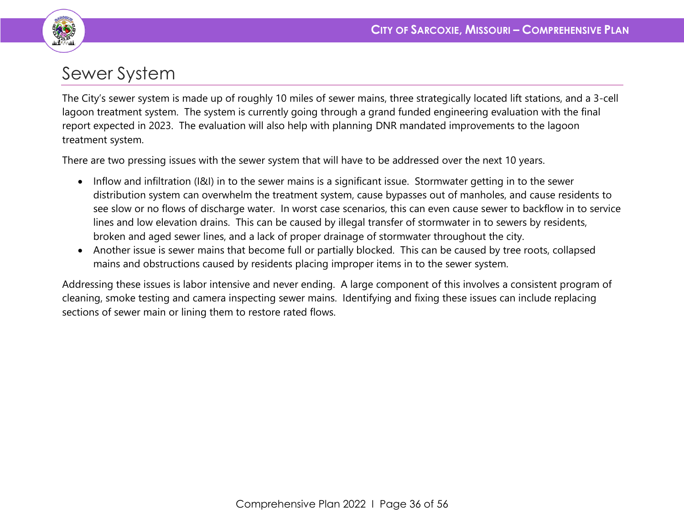



## <span id="page-35-0"></span>Sewer System

The City's sewer system is made up of roughly 10 miles of sewer mains, three strategically located lift stations, and a 3-cell lagoon treatment system. The system is currently going through a grand funded engineering evaluation with the final report expected in 2023. The evaluation will also help with planning DNR mandated improvements to the lagoon treatment system.

There are two pressing issues with the sewer system that will have to be addressed over the next 10 years.

- Inflow and infiltration (I&I) in to the sewer mains is a significant issue. Stormwater getting in to the sewer distribution system can overwhelm the treatment system, cause bypasses out of manholes, and cause residents to see slow or no flows of discharge water. In worst case scenarios, this can even cause sewer to backflow in to service lines and low elevation drains. This can be caused by illegal transfer of stormwater in to sewers by residents, broken and aged sewer lines, and a lack of proper drainage of stormwater throughout the city.
- Another issue is sewer mains that become full or partially blocked. This can be caused by tree roots, collapsed mains and obstructions caused by residents placing improper items in to the sewer system.

Addressing these issues is labor intensive and never ending. A large component of this involves a consistent program of cleaning, smoke testing and camera inspecting sewer mains. Identifying and fixing these issues can include replacing sections of sewer main or lining them to restore rated flows.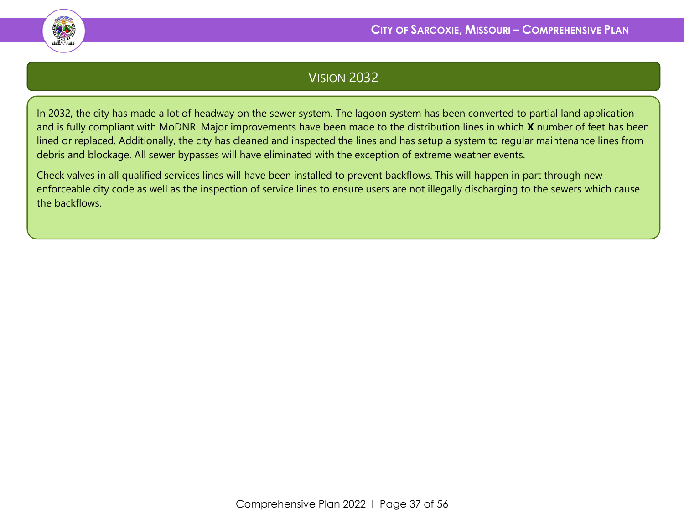

## VISION 2032

In 2032, the city has made a lot of headway on the sewer system. The lagoon system has been converted to partial land application and is fully compliant with MoDNR. Major improvements have been made to the distribution lines in which **X** number of feet has been lined or replaced. Additionally, the city has cleaned and inspected the lines and has setup a system to regular maintenance lines from debris and blockage. All sewer bypasses will have eliminated with the exception of extreme weather events.

Check valves in all qualified services lines will have been installed to prevent backflows. This will happen in part through new enforceable city code as well as the inspection of service lines to ensure users are not illegally discharging to the sewers which cause the backflows.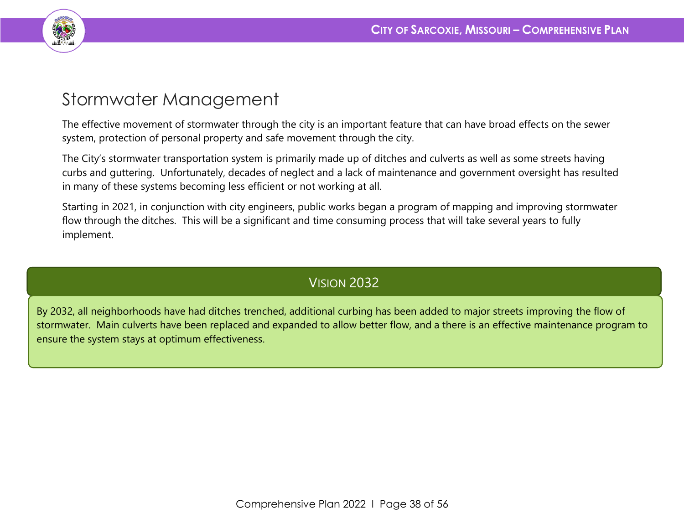

# <span id="page-37-0"></span>Stormwater Management

The effective movement of stormwater through the city is an important feature that can have broad effects on the sewer system, protection of personal property and safe movement through the city.

The City's stormwater transportation system is primarily made up of ditches and culverts as well as some streets having curbs and guttering. Unfortunately, decades of neglect and a lack of maintenance and government oversight has resulted in many of these systems becoming less efficient or not working at all.

Starting in 2021, in conjunction with city engineers, public works began a program of mapping and improving stormwater flow through the ditches. This will be a significant and time consuming process that will take several years to fully implement.

### VISION 2032

By 2032, all neighborhoods have had ditches trenched, additional curbing has been added to major streets improving the flow of stormwater. Main culverts have been replaced and expanded to allow better flow, and a there is an effective maintenance program to ensure the system stays at optimum effectiveness.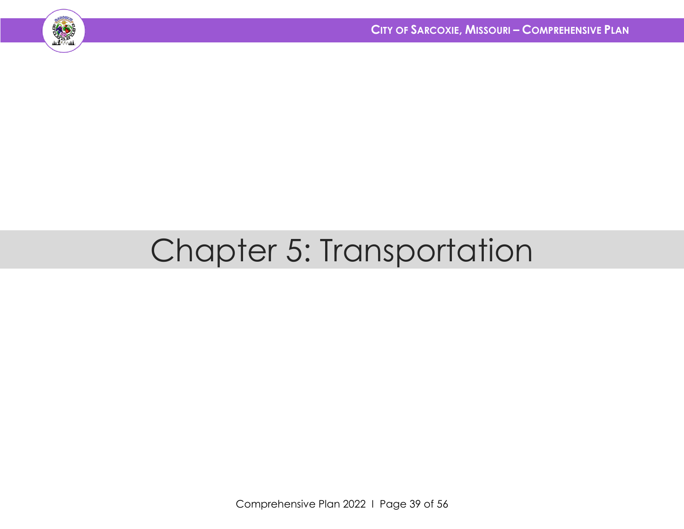

# <span id="page-38-0"></span>Chapter 5: Transportation

Comprehensive Plan 2022 I Page 39 of 56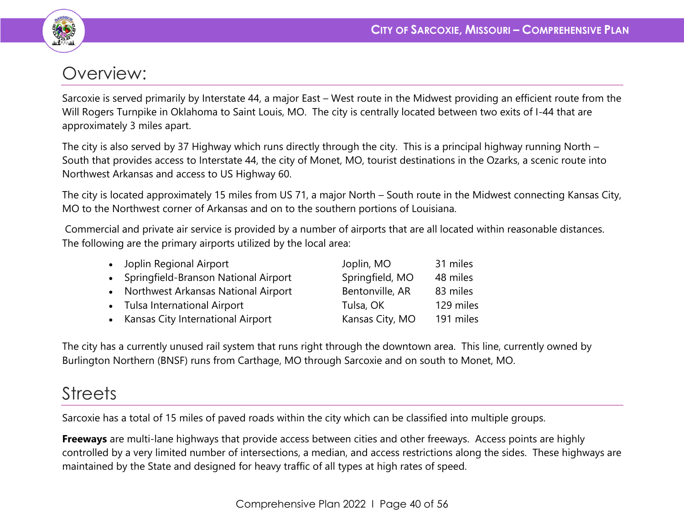

# <span id="page-39-0"></span>Overview:

Sarcoxie is served primarily by Interstate 44, a major East – West route in the Midwest providing an efficient route from the Will Rogers Turnpike in Oklahoma to Saint Louis, MO. The city is centrally located between two exits of I-44 that are approximately 3 miles apart.

The city is also served by 37 Highway which runs directly through the city. This is a principal highway running North – South that provides access to Interstate 44, the city of Monet, MO, tourist destinations in the Ozarks, a scenic route into Northwest Arkansas and access to US Highway 60.

The city is located approximately 15 miles from US 71, a major North – South route in the Midwest connecting Kansas City, MO to the Northwest corner of Arkansas and on to the southern portions of Louisiana.

Commercial and private air service is provided by a number of airports that are all located within reasonable distances. The following are the primary airports utilized by the local area:

| • Joplin Regional Airport              | Joplin, MO      | 31 miles  |
|----------------------------------------|-----------------|-----------|
| • Springfield-Branson National Airport | Springfield, MO | 48 miles  |
| • Northwest Arkansas National Airport  | Bentonville, AR | 83 miles  |
| • Tulsa International Airport          | Tulsa, OK       | 129 miles |
| • Kansas City International Airport    | Kansas City, MO | 191 miles |

The city has a currently unused rail system that runs right through the downtown area. This line, currently owned by Burlington Northern (BNSF) runs from Carthage, MO through Sarcoxie and on south to Monet, MO.

## <span id="page-39-1"></span>**Streets**

Sarcoxie has a total of 15 miles of paved roads within the city which can be classified into multiple groups.

**Freeways** are multi-lane highways that provide access between cities and other freeways. Access points are highly controlled by a very limited number of intersections, a median, and access restrictions along the sides. These highways are maintained by the State and designed for heavy traffic of all types at high rates of speed.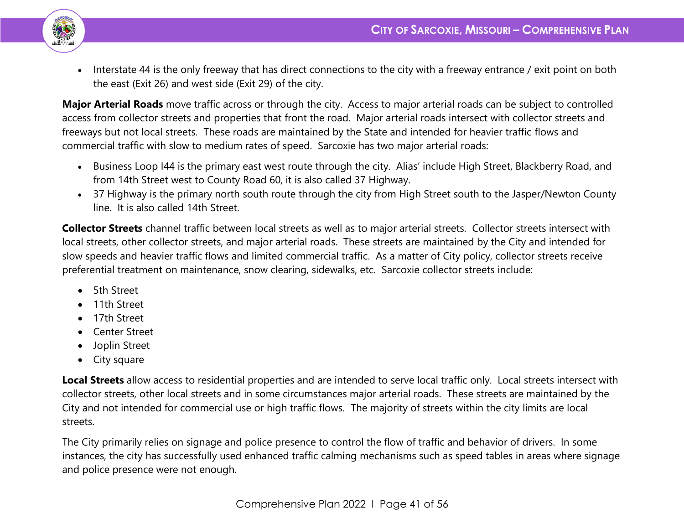

• Interstate 44 is the only freeway that has direct connections to the city with a freeway entrance / exit point on both the east (Exit 26) and west side (Exit 29) of the city.

**Major Arterial Roads** move traffic across or through the city. Access to major arterial roads can be subject to controlled access from collector streets and properties that front the road. Major arterial roads intersect with collector streets and freeways but not local streets. These roads are maintained by the State and intended for heavier traffic flows and commercial traffic with slow to medium rates of speed. Sarcoxie has two major arterial roads:

- Business Loop I44 is the primary east west route through the city. Alias' include High Street, Blackberry Road, and from 14th Street west to County Road 60, it is also called 37 Highway.
- 37 Highway is the primary north south route through the city from High Street south to the Jasper/Newton County line. It is also called 14th Street.

**Collector Streets** channel traffic between local streets as well as to major arterial streets. Collector streets intersect with local streets, other collector streets, and major arterial roads. These streets are maintained by the City and intended for slow speeds and heavier traffic flows and limited commercial traffic. As a matter of City policy, collector streets receive preferential treatment on maintenance, snow clearing, sidewalks, etc. Sarcoxie collector streets include:

- 5th Street
- 11th Street
- 17th Street
- Center Street
- Joplin Street
- City square

**Local Streets** allow access to residential properties and are intended to serve local traffic only. Local streets intersect with collector streets, other local streets and in some circumstances major arterial roads. These streets are maintained by the City and not intended for commercial use or high traffic flows. The majority of streets within the city limits are local streets.

The City primarily relies on signage and police presence to control the flow of traffic and behavior of drivers. In some instances, the city has successfully used enhanced traffic calming mechanisms such as speed tables in areas where signage and police presence were not enough.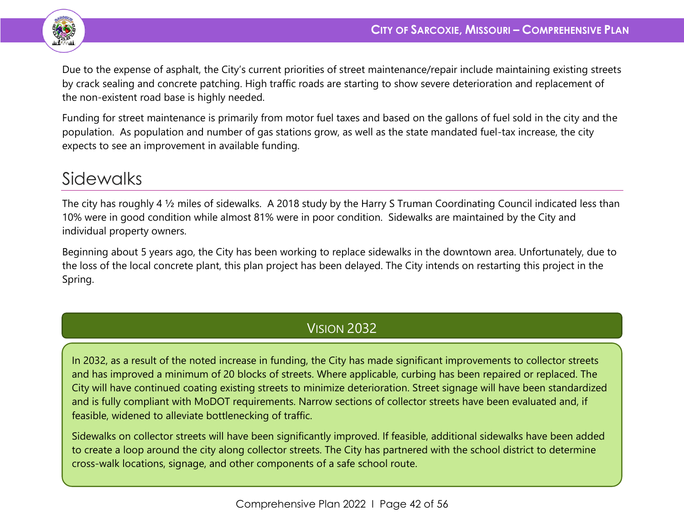

Due to the expense of asphalt, the City's current priorities of street maintenance/repair include maintaining existing streets by crack sealing and concrete patching. High traffic roads are starting to show severe deterioration and replacement of the non-existent road base is highly needed.

Funding for street maintenance is primarily from motor fuel taxes and based on the gallons of fuel sold in the city and the population. As population and number of gas stations grow, as well as the state mandated fuel-tax increase, the city expects to see an improvement in available funding.

# <span id="page-41-0"></span>**Sidewalks**

The city has roughly 4 ½ miles of sidewalks. A 2018 study by the Harry S Truman Coordinating Council indicated less than 10% were in good condition while almost 81% were in poor condition. Sidewalks are maintained by the City and individual property owners.

Beginning about 5 years ago, the City has been working to replace sidewalks in the downtown area. Unfortunately, due to the loss of the local concrete plant, this plan project has been delayed. The City intends on restarting this project in the Spring.

## VISION 2032

In 2032, as a result of the noted increase in funding, the City has made significant improvements to collector streets and has improved a minimum of 20 blocks of streets. Where applicable, curbing has been repaired or replaced. The City will have continued coating existing streets to minimize deterioration. Street signage will have been standardized and is fully compliant with MoDOT requirements. Narrow sections of collector streets have been evaluated and, if feasible, widened to alleviate bottlenecking of traffic.

Sidewalks on collector streets will have been significantly improved. If feasible, additional sidewalks have been added to create a loop around the city along collector streets. The City has partnered with the school district to determine cross-walk locations, signage, and other components of a safe school route.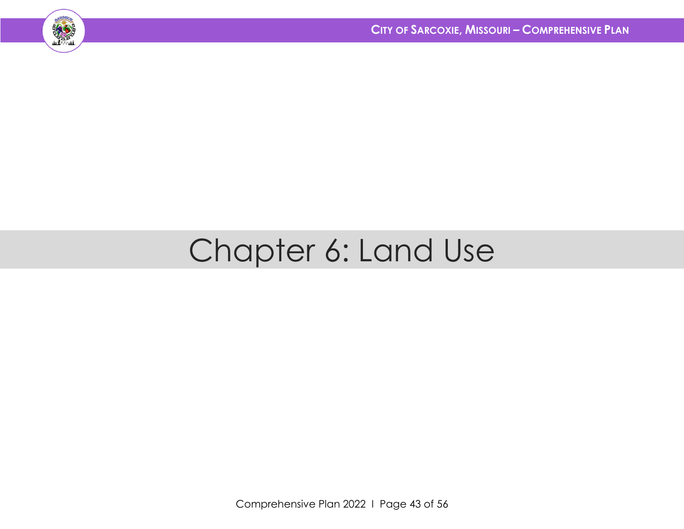

# <span id="page-42-0"></span>Chapter 6: Land Use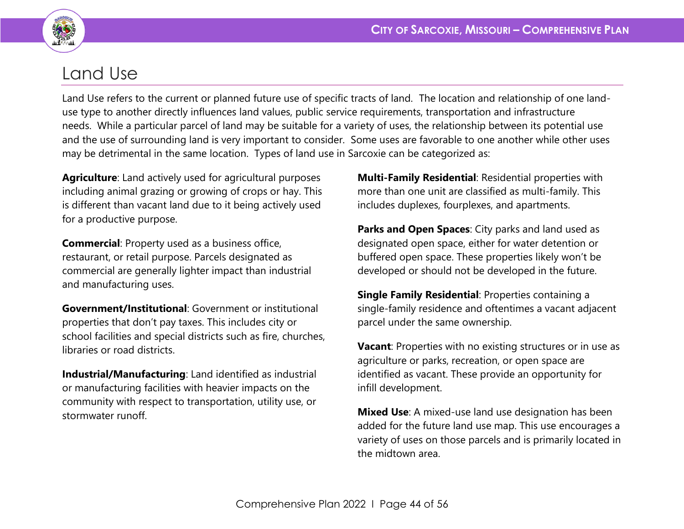

# <span id="page-43-0"></span>Land Use

Land Use refers to the current or planned future use of specific tracts of land. The location and relationship of one landuse type to another directly influences land values, public service requirements, transportation and infrastructure needs. While a particular parcel of land may be suitable for a variety of uses, the relationship between its potential use and the use of surrounding land is very important to consider. Some uses are favorable to one another while other uses may be detrimental in the same location. Types of land use in Sarcoxie can be categorized as:

**Agriculture**: Land actively used for agricultural purposes including animal grazing or growing of crops or hay. This is different than vacant land due to it being actively used for a productive purpose.

**Commercial**: Property used as a business office, restaurant, or retail purpose. Parcels designated as commercial are generally lighter impact than industrial and manufacturing uses.

**Government/Institutional**: Government or institutional properties that don't pay taxes. This includes city or school facilities and special districts such as fire, churches, libraries or road districts.

**Industrial/Manufacturing**: Land identified as industrial or manufacturing facilities with heavier impacts on the community with respect to transportation, utility use, or stormwater runoff.

**Multi-Family Residential**: Residential properties with more than one unit are classified as multi-family. This includes duplexes, fourplexes, and apartments.

**Parks and Open Spaces**: City parks and land used as designated open space, either for water detention or buffered open space. These properties likely won't be developed or should not be developed in the future.

**Single Family Residential**: Properties containing a single-family residence and oftentimes a vacant adjacent parcel under the same ownership.

**Vacant**: Properties with no existing structures or in use as agriculture or parks, recreation, or open space are identified as vacant. These provide an opportunity for infill development.

**Mixed Use**: A mixed-use land use designation has been added for the future land use map. This use encourages a variety of uses on those parcels and is primarily located in the midtown area.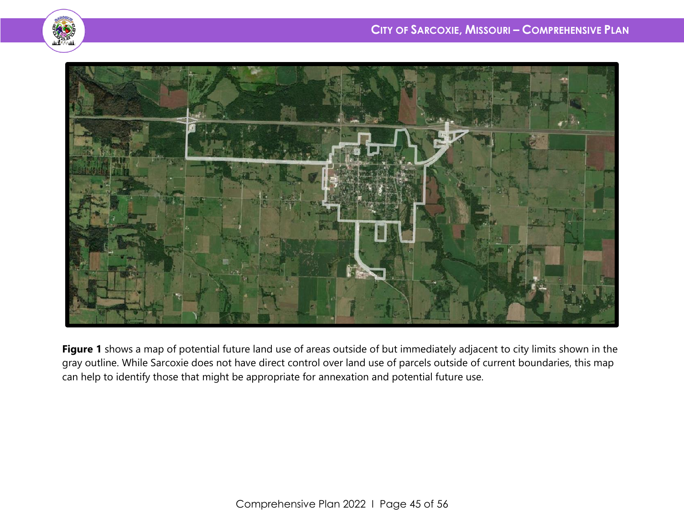



**Figure 1** shows a map of potential future land use of areas outside of but immediately adjacent to city limits shown in the gray outline. While Sarcoxie does not have direct control over land use of parcels outside of current boundaries, this map can help to identify those that might be appropriate for annexation and potential future use.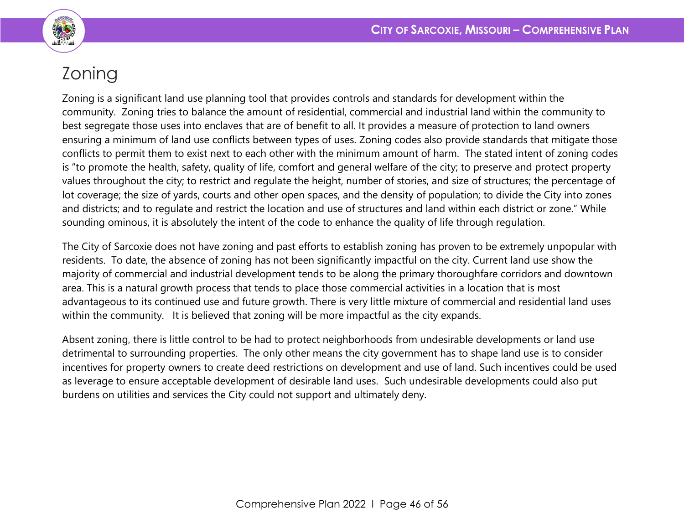

# <span id="page-45-0"></span>Zoning

Zoning is a significant land use planning tool that provides controls and standards for development within the community. Zoning tries to balance the amount of residential, commercial and industrial land within the community to best segregate those uses into enclaves that are of benefit to all. It provides a measure of protection to land owners ensuring a minimum of land use conflicts between types of uses. Zoning codes also provide standards that mitigate those conflicts to permit them to exist next to each other with the minimum amount of harm. The stated intent of zoning codes is "to promote the health, safety, quality of life, comfort and general welfare of the city; to preserve and protect property values throughout the city; to restrict and regulate the height, number of stories, and size of structures; the percentage of lot coverage; the size of yards, courts and other open spaces, and the density of population; to divide the City into zones and districts; and to regulate and restrict the location and use of structures and land within each district or zone." While sounding ominous, it is absolutely the intent of the code to enhance the quality of life through regulation.

The City of Sarcoxie does not have zoning and past efforts to establish zoning has proven to be extremely unpopular with residents. To date, the absence of zoning has not been significantly impactful on the city. Current land use show the majority of commercial and industrial development tends to be along the primary thoroughfare corridors and downtown area. This is a natural growth process that tends to place those commercial activities in a location that is most advantageous to its continued use and future growth. There is very little mixture of commercial and residential land uses within the community. It is believed that zoning will be more impactful as the city expands.

Absent zoning, there is little control to be had to protect neighborhoods from undesirable developments or land use detrimental to surrounding properties. The only other means the city government has to shape land use is to consider incentives for property owners to create deed restrictions on development and use of land. Such incentives could be used as leverage to ensure acceptable development of desirable land uses. Such undesirable developments could also put burdens on utilities and services the City could not support and ultimately deny.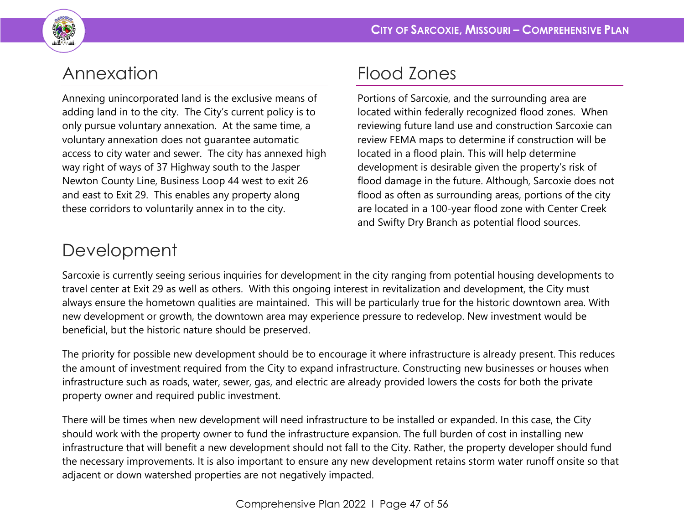

# <span id="page-46-0"></span>Annexation

Annexing unincorporated land is the exclusive means of adding land in to the city. The City's current policy is to only pursue voluntary annexation. At the same time, a voluntary annexation does not guarantee automatic access to city water and sewer. The city has annexed high way right of ways of 37 Highway south to the Jasper Newton County Line, Business Loop 44 west to exit 26 and east to Exit 29. This enables any property along these corridors to voluntarily annex in to the city.

# <span id="page-46-1"></span>Flood Zones

Portions of Sarcoxie, and the surrounding area are located within federally recognized flood zones. When reviewing future land use and construction Sarcoxie can review FEMA maps to determine if construction will be located in a flood plain. This will help determine development is desirable given the property's risk of flood damage in the future. Although, Sarcoxie does not flood as often as surrounding areas, portions of the city are located in a 100-year flood zone with Center Creek and Swifty Dry Branch as potential flood sources.

# <span id="page-46-2"></span>**Development**

Sarcoxie is currently seeing serious inquiries for development in the city ranging from potential housing developments to travel center at Exit 29 as well as others. With this ongoing interest in revitalization and development, the City must always ensure the hometown qualities are maintained. This will be particularly true for the historic downtown area. With new development or growth, the downtown area may experience pressure to redevelop. New investment would be beneficial, but the historic nature should be preserved.

The priority for possible new development should be to encourage it where infrastructure is already present. This reduces the amount of investment required from the City to expand infrastructure. Constructing new businesses or houses when infrastructure such as roads, water, sewer, gas, and electric are already provided lowers the costs for both the private property owner and required public investment.

There will be times when new development will need infrastructure to be installed or expanded. In this case, the City should work with the property owner to fund the infrastructure expansion. The full burden of cost in installing new infrastructure that will benefit a new development should not fall to the City. Rather, the property developer should fund the necessary improvements. It is also important to ensure any new development retains storm water runoff onsite so that adjacent or down watershed properties are not negatively impacted.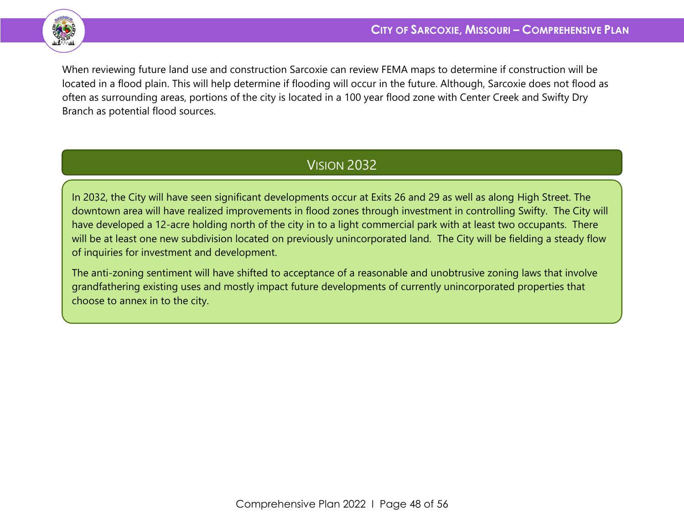

When reviewing future land use and construction Sarcoxie can review FEMA maps to determine if construction will be located in a flood plain. This will help determine if flooding will occur in the future. Although, Sarcoxie does not flood as often as surrounding areas, portions of the city is located in a 100 year flood zone with Center Creek and Swifty Dry Branch as potential flood sources.

### VISION 2032

In 2032, the City will have seen significant developments occur at Exits 26 and 29 as well as along High Street. The downtown area will have realized improvements in flood zones through investment in controlling Swifty. The City will have developed a 12-acre holding north of the city in to a light commercial park with at least two occupants. There will be at least one new subdivision located on previously unincorporated land. The City will be fielding a steady flow of inquiries for investment and development.

The anti-zoning sentiment will have shifted to acceptance of a reasonable and unobtrusive zoning laws that involve grandfathering existing uses and mostly impact future developments of currently unincorporated properties that choose to annex in to the city.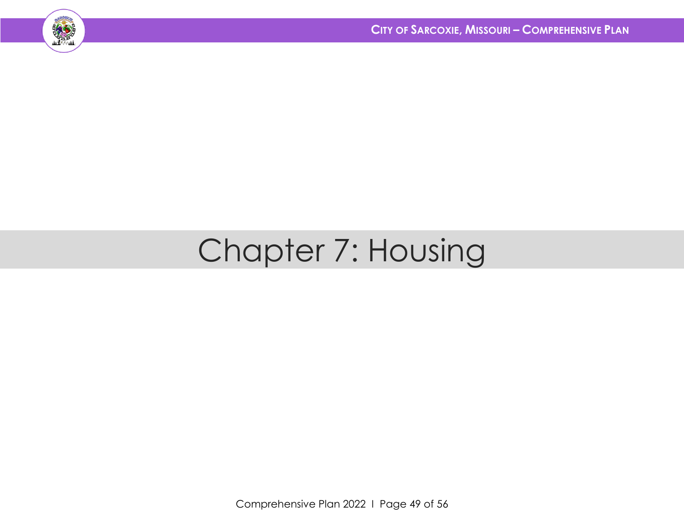

# <span id="page-48-0"></span>Chapter 7: Housing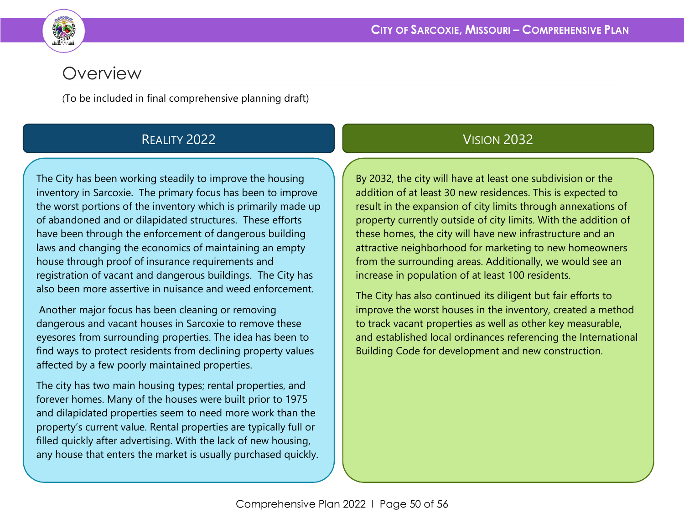

## <span id="page-49-0"></span>**Overview**

(To be included in final comprehensive planning draft)

### REALITY 2022 **VISION 2032**

The City has been working steadily to improve the housing inventory in Sarcoxie. The primary focus has been to improve the worst portions of the inventory which is primarily made up of abandoned and or dilapidated structures. These efforts have been through the enforcement of dangerous building laws and changing the economics of maintaining an empty house through proof of insurance requirements and registration of vacant and dangerous buildings. The City has also been more assertive in nuisance and weed enforcement.

Another major focus has been cleaning or removing dangerous and vacant houses in Sarcoxie to remove these eyesores from surrounding properties. The idea has been to find ways to protect residents from declining property values affected by a few poorly maintained properties.

The city has two main housing types; rental properties, and forever homes. Many of the houses were built prior to 1975 and dilapidated properties seem to need more work than the property's current value. Rental properties are typically full or filled quickly after advertising. With the lack of new housing, any house that enters the market is usually purchased quickly.

By 2032, the city will have at least one subdivision or the addition of at least 30 new residences. This is expected to result in the expansion of city limits through annexations of property currently outside of city limits. With the addition of these homes, the city will have new infrastructure and an attractive neighborhood for marketing to new homeowners from the surrounding areas. Additionally, we would see an increase in population of at least 100 residents.

The City has also continued its diligent but fair efforts to improve the worst houses in the inventory, created a method to track vacant properties as well as other key measurable, and established local ordinances referencing the International Building Code for development and new construction.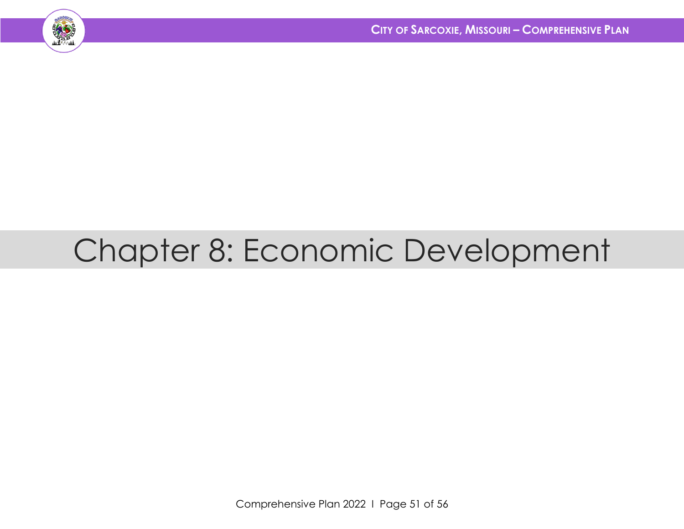

# <span id="page-50-0"></span>Chapter 8: Economic Development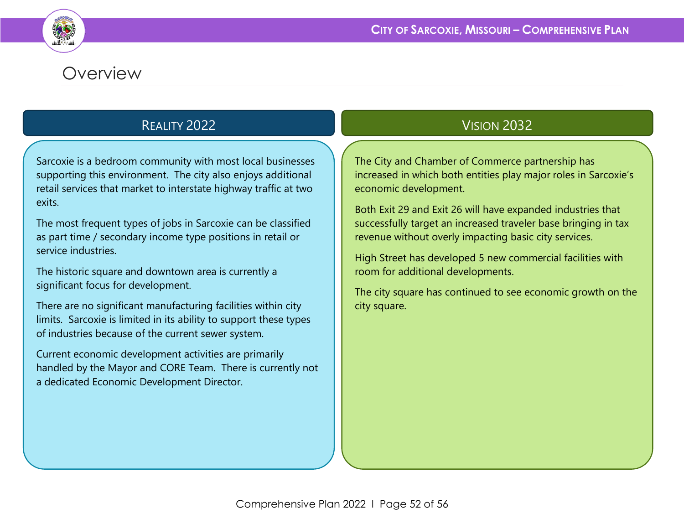

## <span id="page-51-0"></span>**Overview**

#### REALITY 2022 **CONTROLLER IN THE CONTROLLER IN THE VISION 2032**

Sarcoxie is a bedroom community with most local businesses supporting this environment. The city also enjoys additional retail services that market to interstate highway traffic at two exits.

The most frequent types of jobs in Sarcoxie can be classified as part time / secondary income type positions in retail or service industries.

The historic square and downtown area is currently a significant focus for development.

There are no significant manufacturing facilities within city limits. Sarcoxie is limited in its ability to support these types of industries because of the current sewer system.

Current economic development activities are primarily handled by the Mayor and CORE Team. There is currently not a dedicated Economic Development Director.

The City and Chamber of Commerce partnership has increased in which both entities play major roles in Sarcoxie's economic development.

Both Exit 29 and Exit 26 will have expanded industries that successfully target an increased traveler base bringing in tax revenue without overly impacting basic city services.

High Street has developed 5 new commercial facilities with room for additional developments.

The city square has continued to see economic growth on the city square.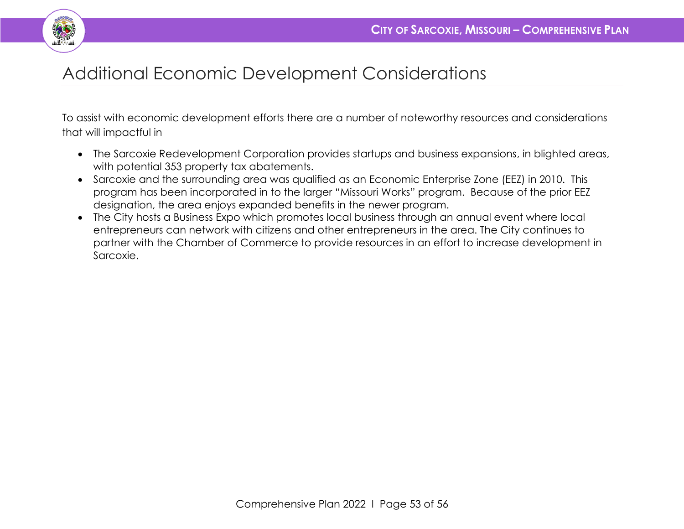

# <span id="page-52-0"></span>Additional Economic Development Considerations

To assist with economic development efforts there are a number of noteworthy resources and considerations that will impactful in

- The Sarcoxie Redevelopment Corporation provides startups and business expansions, in blighted areas, with potential 353 property tax abatements.
- Sarcoxie and the surrounding area was qualified as an Economic Enterprise Zone (EEZ) in 2010. This program has been incorporated in to the larger "Missouri Works" program. Because of the prior EEZ designation, the area enjoys expanded benefits in the newer program.
- The City hosts a Business Expo which promotes local business through an annual event where local entrepreneurs can network with citizens and other entrepreneurs in the area. The City continues to partner with the Chamber of Commerce to provide resources in an effort to increase development in Sarcoxie.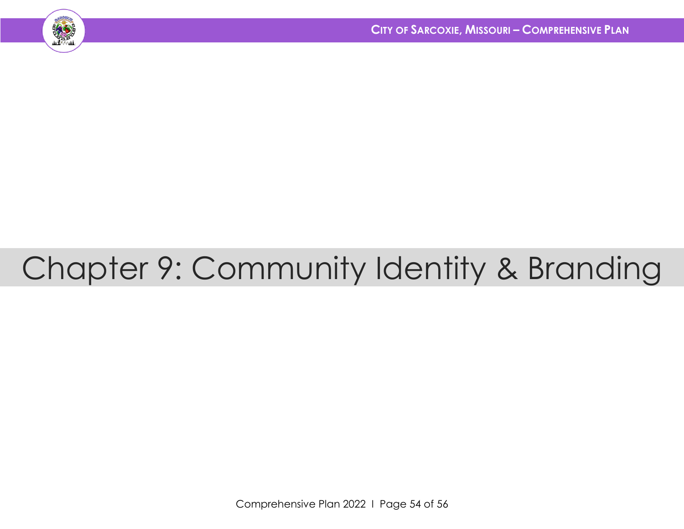

# <span id="page-53-0"></span>Chapter 9: Community Identity & Branding

Comprehensive Plan 2022 I Page 54 of 56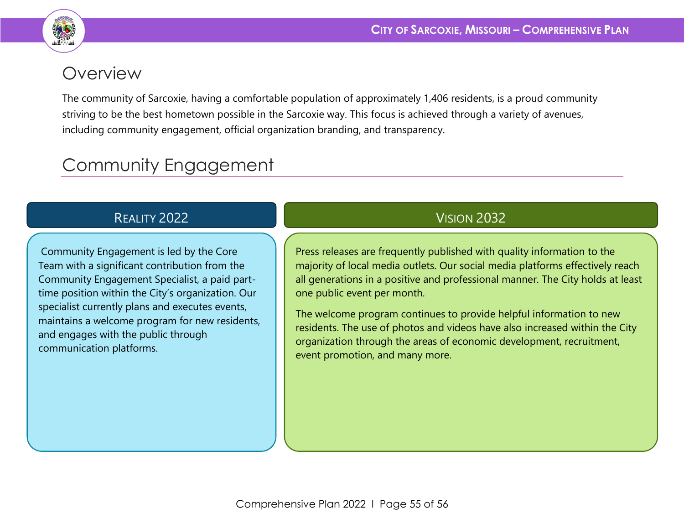

# <span id="page-54-0"></span>**Overview**

The community of Sarcoxie, having a comfortable population of approximately 1,406 residents, is a proud community striving to be the best hometown possible in the Sarcoxie way. This focus is achieved through a variety of avenues, including community engagement, official organization branding, and transparency.

# <span id="page-54-1"></span>Community Engagement

### REALITY 2022 **VISION 2032**

Community Engagement is led by the Core Team with a significant contribution from the Community Engagement Specialist, a paid parttime position within the City's organization. Our specialist currently plans and executes events, maintains a welcome program for new residents, and engages with the public through communication platforms.

Press releases are frequently published with quality information to the majority of local media outlets. Our social media platforms effectively reach all generations in a positive and professional manner. The City holds at least one public event per month.

The welcome program continues to provide helpful information to new residents. The use of photos and videos have also increased within the City organization through the areas of economic development, recruitment, event promotion, and many more.